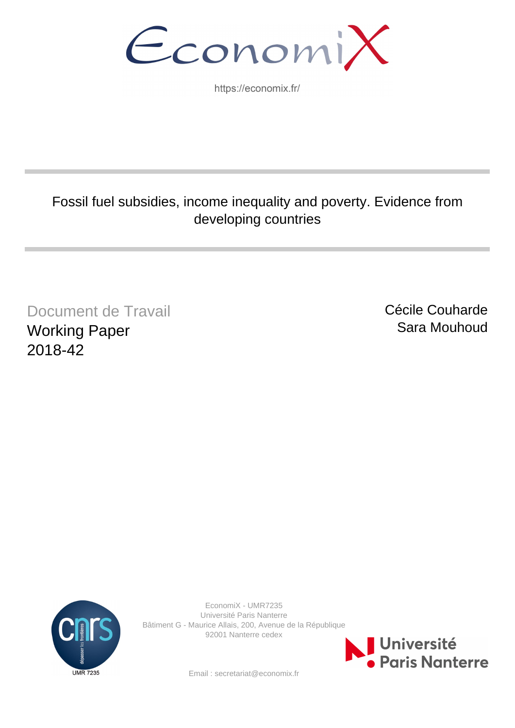EconomiX

https://economix.fr/

# Fossil fuel subsidies, income inequality and poverty. Evidence from developing countries

Document de Travail Working Paper 2018-42

Cécile Couharde Sara Mouhoud



EconomiX - UMR7235 Université Paris Nanterre Bâtiment G - Maurice Allais, 200, Avenue de la République 92001 Nanterre cedex



Email : secretariat@economix.fr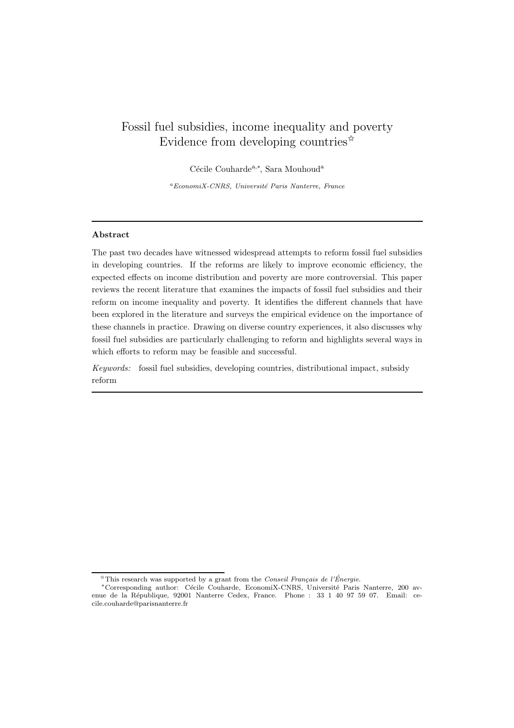# Fossil fuel subsidies, income inequality and poverty Evidence from developing countries $\hat{z}$

Cécile Couharde<sup>a,∗</sup>, Sara Mouhoud<sup>a</sup>

 ${}^aEconomiX-CNRS,$  Université Paris Nanterre, France

## Abstract

The past two decades have witnessed widespread attempts to reform fossil fuel subsidies in developing countries. If the reforms are likely to improve economic efficiency, the expected effects on income distribution and poverty are more controversial. This paper reviews the recent literature that examines the impacts of fossil fuel subsidies and their reform on income inequality and poverty. It identifies the different channels that have been explored in the literature and surveys the empirical evidence on the importance of these channels in practice. Drawing on diverse country experiences, it also discusses why fossil fuel subsidies are particularly challenging to reform and highlights several ways in which efforts to reform may be feasible and successful.

Keywords: fossil fuel subsidies, developing countries, distributional impact, subsidy reform

 $\mathbb{R}$ This research was supported by a grant from the Conseil Français de l'Énergie.

<sup>\*</sup>Corresponding author: Cécile Couharde, EconomiX-CNRS, Université Paris Nanterre, 200 avenue de la R´epublique, 92001 Nanterre Cedex, France. Phone : 33 1 40 97 59 07. Email: cecile.couharde@parisnanterre.fr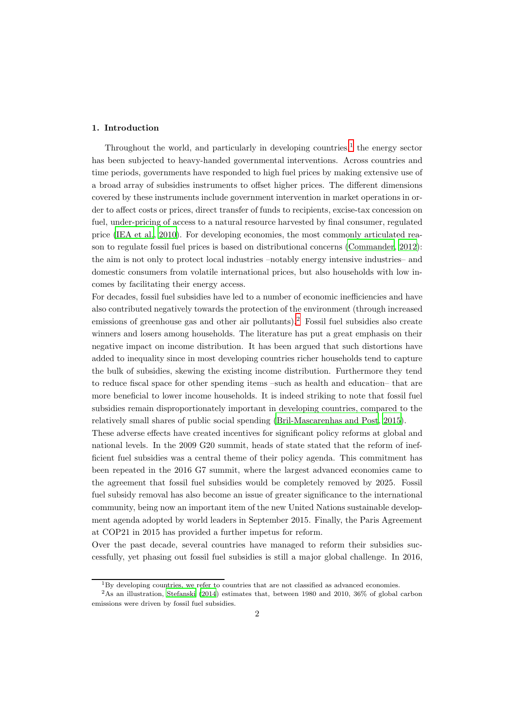#### 1. Introduction

Throughout the world, and particularly in developing countries, $<sup>1</sup>$  $<sup>1</sup>$  $<sup>1</sup>$  the energy sector</sup> has been subjected to heavy-handed governmental interventions. Across countries and time periods, governments have responded to high fuel prices by making extensive use of a broad array of subsidies instruments to offset higher prices. The different dimensions covered by these instruments include government intervention in market operations in order to affect costs or prices, direct transfer of funds to recipients, excise-tax concession on fuel, under-pricing of access to a natural resource harvested by final consumer, regulated price [\(IEA et al., 2010\)](#page-45-0). For developing economies, the most commonly articulated reason to regulate fossil fuel prices is based on distributional concerns [\(Commander](#page-44-0), [2012\)](#page-44-0): the aim is not only to protect local industries –notably energy intensive industries– and domestic consumers from volatile international prices, but also households with low incomes by facilitating their energy access.

For decades, fossil fuel subsidies have led to a number of economic inefficiencies and have also contributed negatively towards the protection of the environment (through increased emissions of greenhouse gas and other air pollutants).<sup>[2](#page-2-1)</sup> Fossil fuel subsidies also create winners and losers among households. The literature has put a great emphasis on their negative impact on income distribution. It has been argued that such distortions have added to inequality since in most developing countries richer households tend to capture the bulk of subsidies, skewing the existing income distribution. Furthermore they tend to reduce fiscal space for other spending items –such as health and education– that are more beneficial to lower income households. It is indeed striking to note that fossil fuel subsidies remain disproportionately important in developing countries, compared to the relatively small shares of public social spending [\(Bril-Mascarenhas and Post, 2015\)](#page-44-1).

These adverse effects have created incentives for significant policy reforms at global and national levels. In the 2009 G20 summit, heads of state stated that the reform of inefficient fuel subsidies was a central theme of their policy agenda. This commitment has been repeated in the 2016 G7 summit, where the largest advanced economies came to the agreement that fossil fuel subsidies would be completely removed by 2025. Fossil fuel subsidy removal has also become an issue of greater significance to the international community, being now an important item of the new United Nations sustainable development agenda adopted by world leaders in September 2015. Finally, the Paris Agreement at COP21 in 2015 has provided a further impetus for reform.

Over the past decade, several countries have managed to reform their subsidies successfully, yet phasing out fossil fuel subsidies is still a major global challenge. In 2016,

<span id="page-2-0"></span> $1_{\text{B}}$  developing countries, we refer to countries that are not classified as advanced economies.

<span id="page-2-1"></span><sup>2</sup>As an illustration, [Stefanski \(2014](#page-46-0)) estimates that, between 1980 and 2010, 36% of global carbon emissions were driven by fossil fuel subsidies.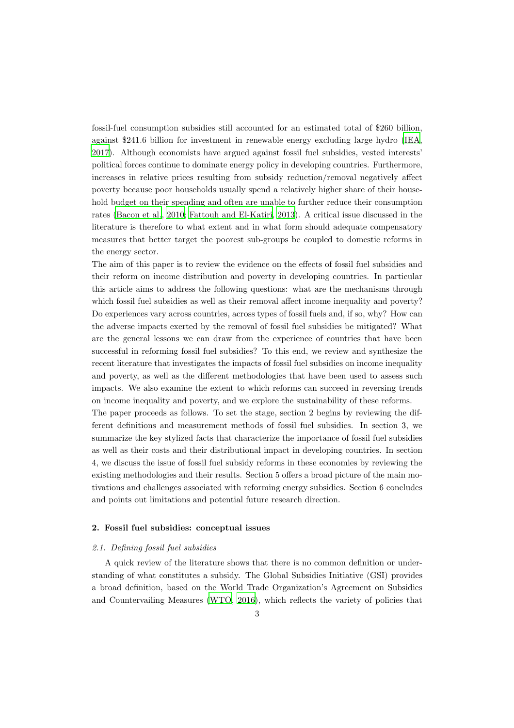fossil-fuel consumption subsidies still accounted for an estimated total of \$260 billion, against \$241.6 billion for investment in renewable energy excluding large hydro [\(IEA](#page-45-1), [2017](#page-45-1)). Although economists have argued against fossil fuel subsidies, vested interests' political forces continue to dominate energy policy in developing countries. Furthermore, increases in relative prices resulting from subsidy reduction/removal negatively affect poverty because poor households usually spend a relatively higher share of their household budget on their spending and often are unable to further reduce their consumption rates [\(Bacon et al.](#page-44-2), [2010](#page-44-2); [Fattouh and El-Katiri](#page-45-2), [2013](#page-45-2)). A critical issue discussed in the literature is therefore to what extent and in what form should adequate compensatory measures that better target the poorest sub-groups be coupled to domestic reforms in the energy sector.

The aim of this paper is to review the evidence on the effects of fossil fuel subsidies and their reform on income distribution and poverty in developing countries. In particular this article aims to address the following questions: what are the mechanisms through which fossil fuel subsidies as well as their removal affect income inequality and poverty? Do experiences vary across countries, across types of fossil fuels and, if so, why? How can the adverse impacts exerted by the removal of fossil fuel subsidies be mitigated? What are the general lessons we can draw from the experience of countries that have been successful in reforming fossil fuel subsidies? To this end, we review and synthesize the recent literature that investigates the impacts of fossil fuel subsidies on income inequality and poverty, as well as the different methodologies that have been used to assess such impacts. We also examine the extent to which reforms can succeed in reversing trends on income inequality and poverty, and we explore the sustainability of these reforms.

The paper proceeds as follows. To set the stage, section 2 begins by reviewing the different definitions and measurement methods of fossil fuel subsidies. In section 3, we summarize the key stylized facts that characterize the importance of fossil fuel subsidies as well as their costs and their distributional impact in developing countries. In section 4, we discuss the issue of fossil fuel subsidy reforms in these economies by reviewing the existing methodologies and their results. Section 5 offers a broad picture of the main motivations and challenges associated with reforming energy subsidies. Section 6 concludes and points out limitations and potential future research direction.

#### 2. Fossil fuel subsidies: conceptual issues

#### 2.1. Defining fossil fuel subsidies

A quick review of the literature shows that there is no common definition or understanding of what constitutes a subsidy. The Global Subsidies Initiative (GSI) provides a broad definition, based on the World Trade Organization's Agreement on Subsidies and Countervailing Measures [\(WTO](#page-47-0), [2016](#page-47-0)), which reflects the variety of policies that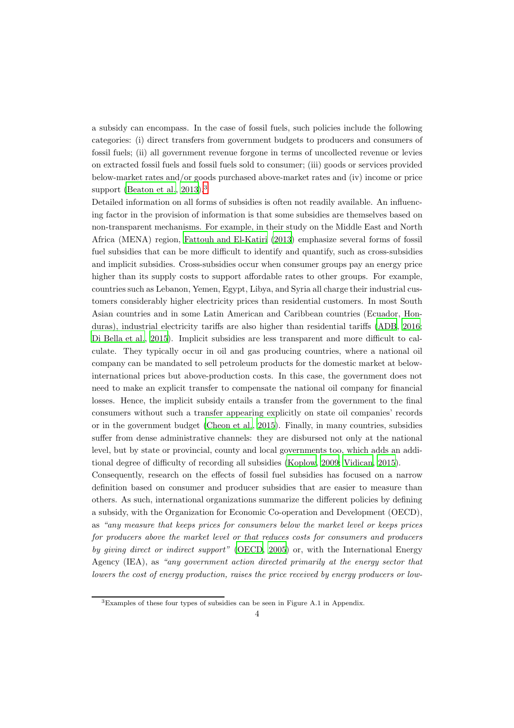a subsidy can encompass. In the case of fossil fuels, such policies include the following categories: (i) direct transfers from government budgets to producers and consumers of fossil fuels; (ii) all government revenue forgone in terms of uncollected revenue or levies on extracted fossil fuels and fossil fuels sold to consumer; (iii) goods or services provided below-market rates and/or goods purchased above-market rates and (iv) income or price support [\(Beaton et al., 2013\)](#page-44-3).<sup>[3](#page-4-0)</sup>

Detailed information on all forms of subsidies is often not readily available. An influencing factor in the provision of information is that some subsidies are themselves based on non-transparent mechanisms. For example, in their study on the Middle East and North Africa (MENA) region, [Fattouh and El-Katiri \(2013](#page-45-2)) emphasize several forms of fossil fuel subsidies that can be more difficult to identify and quantify, such as cross-subsidies and implicit subsidies. Cross-subsidies occur when consumer groups pay an energy price higher than its supply costs to support affordable rates to other groups. For example, countries such as Lebanon, Yemen, Egypt, Libya, and Syria all charge their industrial customers considerably higher electricity prices than residential customers. In most South Asian countries and in some Latin American and Caribbean countries (Ecuador, Honduras), industrial electricity tariffs are also higher than residential tariffs [\(ADB](#page-44-4), [2016](#page-44-4); [Di Bella et al., 2015](#page-45-3)). Implicit subsidies are less transparent and more difficult to calculate. They typically occur in oil and gas producing countries, where a national oil company can be mandated to sell petroleum products for the domestic market at belowinternational prices but above-production costs. In this case, the government does not need to make an explicit transfer to compensate the national oil company for financial losses. Hence, the implicit subsidy entails a transfer from the government to the final consumers without such a transfer appearing explicitly on state oil companies' records or in the government budget [\(Cheon et al.](#page-44-5), [2015\)](#page-44-5). Finally, in many countries, subsidies suffer from dense administrative channels: they are disbursed not only at the national level, but by state or provincial, county and local governments too, which adds an additional degree of difficulty of recording all subsidies [\(Koplow, 2009;](#page-45-4) [Vidican, 2015\)](#page-46-1).

Consequently, research on the effects of fossil fuel subsidies has focused on a narrow definition based on consumer and producer subsidies that are easier to measure than others. As such, international organizations summarize the different policies by defining a subsidy, with the Organization for Economic Co-operation and Development (OECD), as "any measure that keeps prices for consumers below the market level or keeps prices for producers above the market level or that reduces costs for consumers and producers by giving direct or indirect support" [\(OECD](#page-46-2), [2005](#page-46-2)) or, with the International Energy Agency (IEA), as "any government action directed primarily at the energy sector that lowers the cost of energy production, raises the price received by energy producers or low-

<span id="page-4-0"></span><sup>3</sup>Examples of these four types of subsidies can be seen in Figure A.1 in Appendix.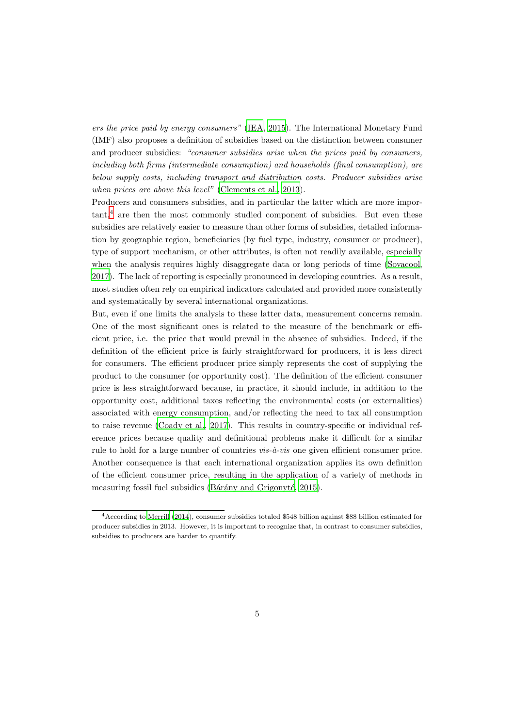ers the price paid by energy consumers" [\(IEA, 2015\)](#page-45-5). The International Monetary Fund (IMF) also proposes a definition of subsidies based on the distinction between consumer and producer subsidies: "consumer subsidies arise when the prices paid by consumers, including both firms (intermediate consumption) and households (final consumption), are below supply costs, including transport and distribution costs. Producer subsidies arise when prices are above this level" [\(Clements et al., 2013](#page-44-6)).

Producers and consumers subsidies, and in particular the latter which are more impor- $tant<sup>4</sup>$  $tant<sup>4</sup>$  $tant<sup>4</sup>$ , are then the most commonly studied component of subsidies. But even these subsidies are relatively easier to measure than other forms of subsidies, detailed information by geographic region, beneficiaries (by fuel type, industry, consumer or producer), type of support mechanism, or other attributes, is often not readily available, especially when the analysis requires highly disaggregate data or long periods of time [\(Sovacool](#page-46-3), [2017](#page-46-3)). The lack of reporting is especially pronounced in developing countries. As a result, most studies often rely on empirical indicators calculated and provided more consistently and systematically by several international organizations.

But, even if one limits the analysis to these latter data, measurement concerns remain. One of the most significant ones is related to the measure of the benchmark or efficient price, i.e. the price that would prevail in the absence of subsidies. Indeed, if the definition of the efficient price is fairly straightforward for producers, it is less direct for consumers. The efficient producer price simply represents the cost of supplying the product to the consumer (or opportunity cost). The definition of the efficient consumer price is less straightforward because, in practice, it should include, in addition to the opportunity cost, additional taxes reflecting the environmental costs (or externalities) associated with energy consumption, and/or reflecting the need to tax all consumption to raise revenue [\(Coady et al., 2017](#page-44-7)). This results in country-specific or individual reference prices because quality and definitional problems make it difficult for a similar rule to hold for a large number of countries  $vis-\hat{a}-vis$  one given efficient consumer price. Another consequence is that each international organization applies its own definition of the efficient consumer price, resulting in the application of a variety of methods in measuring fossil fuel subsidies (Bárány and Grigonyté, 2015).

<span id="page-5-0"></span><sup>4</sup>According to [Merrill \(2014\)](#page-46-4), consumer subsidies totaled \$548 billion against \$88 billion estimated for producer subsidies in 2013. However, it is important to recognize that, in contrast to consumer subsidies, subsidies to producers are harder to quantify.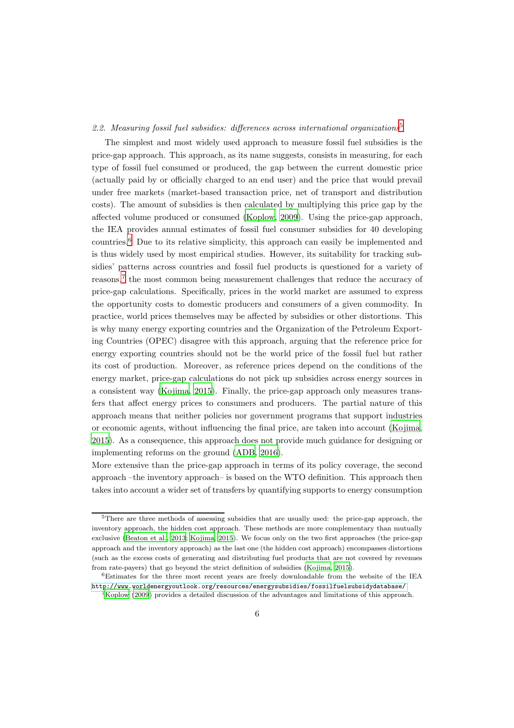#### 2.2. Measuring fossil fuel subsidies: differences across international organizations<sup>[5](#page-6-0)</sup>

The simplest and most widely used approach to measure fossil fuel subsidies is the price-gap approach. This approach, as its name suggests, consists in measuring, for each type of fossil fuel consumed or produced, the gap between the current domestic price (actually paid by or officially charged to an end user) and the price that would prevail under free markets (market-based transaction price, net of transport and distribution costs). The amount of subsidies is then calculated by multiplying this price gap by the affected volume produced or consumed [\(Koplow](#page-45-4), [2009\)](#page-45-4). Using the price-gap approach, the IEA provides annual estimates of fossil fuel consumer subsidies for 40 developing countries.[6](#page-6-1) Due to its relative simplicity, this approach can easily be implemented and is thus widely used by most empirical studies. However, its suitability for tracking subsidies' patterns across countries and fossil fuel products is questioned for a variety of reasons,<sup>[7](#page-6-2)</sup> the most common being measurement challenges that reduce the accuracy of price-gap calculations. Specifically, prices in the world market are assumed to express the opportunity costs to domestic producers and consumers of a given commodity. In practice, world prices themselves may be affected by subsidies or other distortions. This is why many energy exporting countries and the Organization of the Petroleum Exporting Countries (OPEC) disagree with this approach, arguing that the reference price for energy exporting countries should not be the world price of the fossil fuel but rather its cost of production. Moreover, as reference prices depend on the conditions of the energy market, price-gap calculations do not pick up subsidies across energy sources in a consistent way [\(Kojima, 2015](#page-45-6)). Finally, the price-gap approach only measures transfers that affect energy prices to consumers and producers. The partial nature of this approach means that neither policies nor government programs that support industries or economic agents, without influencing the final price, are taken into account [\(Kojima](#page-45-6), [2015](#page-45-6)). As a consequence, this approach does not provide much guidance for designing or implementing reforms on the ground [\(ADB](#page-44-4), [2016](#page-44-4)).

More extensive than the price-gap approach in terms of its policy coverage, the second approach –the inventory approach– is based on the WTO definition. This approach then takes into account a wider set of transfers by quantifying supports to energy consumption

<span id="page-6-0"></span><sup>5</sup>There are three methods of assessing subsidies that are usually used: the price-gap approach, the inventory approach, the hidden cost approach. These methods are more complementary than mutually exclusive [\(Beaton et al.](#page-44-3), [2013](#page-44-3); [Kojima, 2015\)](#page-45-6). We focus only on the two first approaches (the price-gap approach and the inventory approach) as the last one (the hidden cost approach) encompasses distortions (such as the excess costs of generating and distributing fuel products that are not covered by revenues from rate-payers) that go beyond the strict definition of subsidies [\(Kojima, 2015\)](#page-45-6).

<sup>6</sup>Estimates for the three most recent years are freely downloadable from the website of the IEA <http://www.worldenergyoutlook.org/resources/energysubsidies/fossilfuelsubsidydatabase/>

<span id="page-6-2"></span><span id="page-6-1"></span><sup>7</sup>[Koplow \(2009](#page-45-4)) provides a detailed discussion of the advantages and limitations of this approach.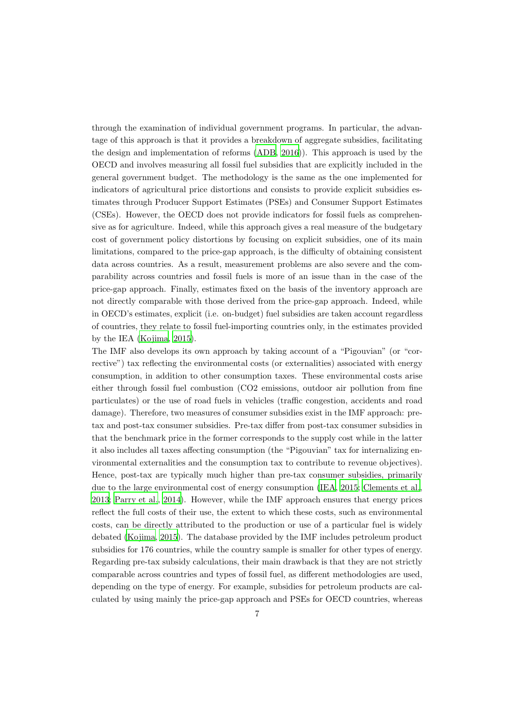through the examination of individual government programs. In particular, the advantage of this approach is that it provides a breakdown of aggregate subsidies, facilitating the design and implementation of reforms [\(ADB](#page-44-4), [2016\)](#page-44-4)). This approach is used by the OECD and involves measuring all fossil fuel subsidies that are explicitly included in the general government budget. The methodology is the same as the one implemented for indicators of agricultural price distortions and consists to provide explicit subsidies estimates through Producer Support Estimates (PSEs) and Consumer Support Estimates (CSEs). However, the OECD does not provide indicators for fossil fuels as comprehensive as for agriculture. Indeed, while this approach gives a real measure of the budgetary cost of government policy distortions by focusing on explicit subsidies, one of its main limitations, compared to the price-gap approach, is the difficulty of obtaining consistent data across countries. As a result, measurement problems are also severe and the comparability across countries and fossil fuels is more of an issue than in the case of the price-gap approach. Finally, estimates fixed on the basis of the inventory approach are not directly comparable with those derived from the price-gap approach. Indeed, while in OECD's estimates, explicit (i.e. on-budget) fuel subsidies are taken account regardless of countries, they relate to fossil fuel-importing countries only, in the estimates provided by the IEA [\(Kojima, 2015\)](#page-45-6).

The IMF also develops its own approach by taking account of a "Pigouvian" (or "corrective") tax reflecting the environmental costs (or externalities) associated with energy consumption, in addition to other consumption taxes. These environmental costs arise either through fossil fuel combustion (CO2 emissions, outdoor air pollution from fine particulates) or the use of road fuels in vehicles (traffic congestion, accidents and road damage). Therefore, two measures of consumer subsidies exist in the IMF approach: pretax and post-tax consumer subsidies. Pre-tax differ from post-tax consumer subsidies in that the benchmark price in the former corresponds to the supply cost while in the latter it also includes all taxes affecting consumption (the "Pigouvian" tax for internalizing environmental externalities and the consumption tax to contribute to revenue objectives). Hence, post-tax are typically much higher than pre-tax consumer subsidies, primarily due to the large environmental cost of energy consumption [\(IEA](#page-45-5), [2015;](#page-45-5) [Clements et al.](#page-44-6), [2013](#page-44-6); [Parry et al., 2014](#page-46-5)). However, while the IMF approach ensures that energy prices reflect the full costs of their use, the extent to which these costs, such as environmental costs, can be directly attributed to the production or use of a particular fuel is widely debated [\(Kojima, 2015\)](#page-45-6). The database provided by the IMF includes petroleum product subsidies for 176 countries, while the country sample is smaller for other types of energy. Regarding pre-tax subsidy calculations, their main drawback is that they are not strictly comparable across countries and types of fossil fuel, as different methodologies are used, depending on the type of energy. For example, subsidies for petroleum products are calculated by using mainly the price-gap approach and PSEs for OECD countries, whereas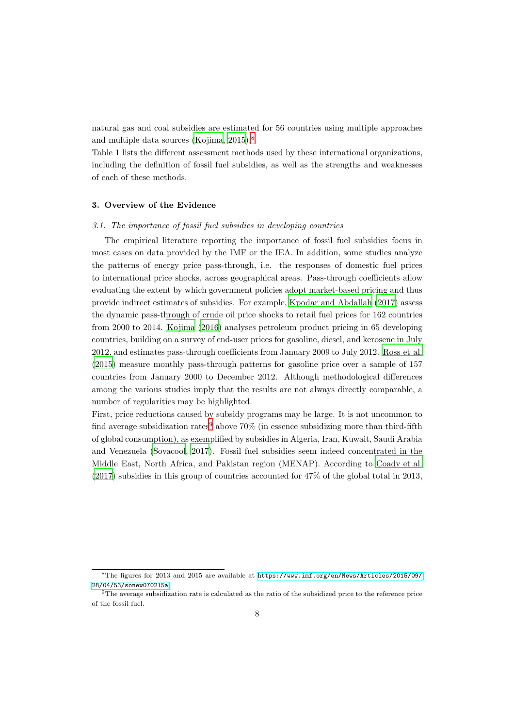natural gas and coal subsidies are estimated for 56 countries using multiple approaches and multiple data sources [\(Kojima](#page-45-6), [2015](#page-45-6)).[8](#page-8-0)

Table 1 lists the different assessment methods used by these international organizations, including the definition of fossil fuel subsidies, as well as the strengths and weaknesses of each of these methods.

### 3. Overview of the Evidence

#### 3.1. The importance of fossil fuel subsidies in developing countries

The empirical literature reporting the importance of fossil fuel subsidies focus in most cases on data provided by the IMF or the IEA. In addition, some studies analyze the patterns of energy price pass-through, i.e. the responses of domestic fuel prices to international price shocks, across geographical areas. Pass-through coefficients allow evaluating the extent by which government policies adopt market-based pricing and thus provide indirect estimates of subsidies. For example, [Kpodar and Abdallah \(2017](#page-45-7)) assess the dynamic pass-through of crude oil price shocks to retail fuel prices for 162 countries from 2000 to 2014. [Kojima \(2016\)](#page-45-8) analyses petroleum product pricing in 65 developing countries, building on a survey of end-user prices for gasoline, diesel, and kerosene in July 2012, and estimates pass-through coefficients from January 2009 to July 2012. [Ross et al.](#page-46-6) [\(2015](#page-46-6)) measure monthly pass-through patterns for gasoline price over a sample of 157 countries from January 2000 to December 2012. Although methodological differences among the various studies imply that the results are not always directly comparable, a number of regularities may be highlighted.

First, price reductions caused by subsidy programs may be large. It is not uncommon to find average subsidization rates<sup>[9](#page-8-1)</sup> above  $70\%$  (in essence subsidizing more than third-fifth of global consumption), as exemplified by subsidies in Algeria, Iran, Kuwait, Saudi Arabia and Venezuela [\(Sovacool, 2017\)](#page-46-3). Fossil fuel subsidies seem indeed concentrated in the Middle East, North Africa, and Pakistan region (MENAP). According to [Coady et al.](#page-44-7) [\(2017](#page-44-7)) subsidies in this group of countries accounted for 47% of the global total in 2013,

<span id="page-8-0"></span><sup>8</sup>The figures for 2013 and 2015 are available at [https://www.imf.org/en/News/Articles/2015/09/](https://www.imf.org/en/News/Articles/2015/09/28/04/53/sonew070215a) [28/04/53/sonew070215a](https://www.imf.org/en/News/Articles/2015/09/28/04/53/sonew070215a)

<span id="page-8-1"></span><sup>9</sup>The average subsidization rate is calculated as the ratio of the subsidized price to the reference price of the fossil fuel.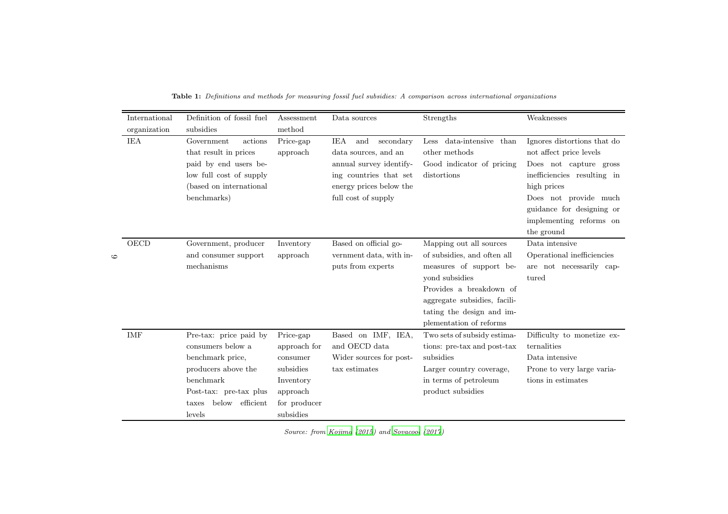|         | International | Definition of fossil fuel                                                                                                                                              | Assessment                                                                                               | Data sources                                                                                                                                                  | Strengths                                                                                                                                                                                                              | Weaknesses                                                                                                                                                                                                                    |
|---------|---------------|------------------------------------------------------------------------------------------------------------------------------------------------------------------------|----------------------------------------------------------------------------------------------------------|---------------------------------------------------------------------------------------------------------------------------------------------------------------|------------------------------------------------------------------------------------------------------------------------------------------------------------------------------------------------------------------------|-------------------------------------------------------------------------------------------------------------------------------------------------------------------------------------------------------------------------------|
|         | organization  | subsidies                                                                                                                                                              | method                                                                                                   |                                                                                                                                                               |                                                                                                                                                                                                                        |                                                                                                                                                                                                                               |
|         | <b>IEA</b>    | Government<br>actions<br>that result in prices<br>paid by end users be-<br>low full cost of supply<br>(based on international<br>benchmarks)                           | Price-gap<br>approach                                                                                    | <b>IEA</b><br>secondary<br>and<br>data sources, and an<br>annual survey identify-<br>ing countries that set<br>energy prices below the<br>full cost of supply | data-intensive than<br>$_{\text{Less}}$<br>other methods<br>Good indicator of pricing<br>distortions                                                                                                                   | Ignores distortions that do<br>not affect price levels<br>Does not capture gross<br>inefficiencies resulting in<br>high prices<br>Does not provide much<br>guidance for designing or<br>implementing reforms on<br>the ground |
| $\circ$ | OECD          | Government, producer<br>and consumer support<br>mechanisms                                                                                                             | Inventory<br>approach                                                                                    | Based on official go-<br>vernment data, with in-<br>puts from experts                                                                                         | Mapping out all sources<br>of subsidies, and often all<br>measures of support be-<br>vond subsidies<br>Provides a breakdown of<br>aggregate subsidies, facili-<br>tating the design and im-<br>plementation of reforms | Data intensive<br>Operational inefficiencies<br>are not necessarily cap-<br>tured                                                                                                                                             |
|         | <b>IMF</b>    | Pre-tax: price paid by<br>consumers below a<br>benchmark price,<br>producers above the<br>benchmark<br>Post-tax: pre-tax plus<br>efficient<br>below<br>taxes<br>levels | Price-gap<br>approach for<br>consumer<br>subsidies<br>Inventory<br>approach<br>for producer<br>subsidies | Based on IMF, IEA,<br>and OECD data<br>Wider sources for post-<br>tax estimates                                                                               | Two sets of subsidy estima-<br>tions: pre-tax and post-tax<br>subsidies<br>Larger country coverage,<br>in terms of petroleum<br>product subsidies                                                                      | Difficulty to monetize ex-<br>ternalities<br>Data intensive<br>Prone to very large varia-<br>tions in estimates                                                                                                               |

Table 1: Definitions and methods for measuring fossil fuel subsidies: A comparison across international organizations

Source: from [Kojima](#page-45-9) [\(2015](#page-45-9)) and [Sovacool](#page-46-7) [\(2017](#page-46-7))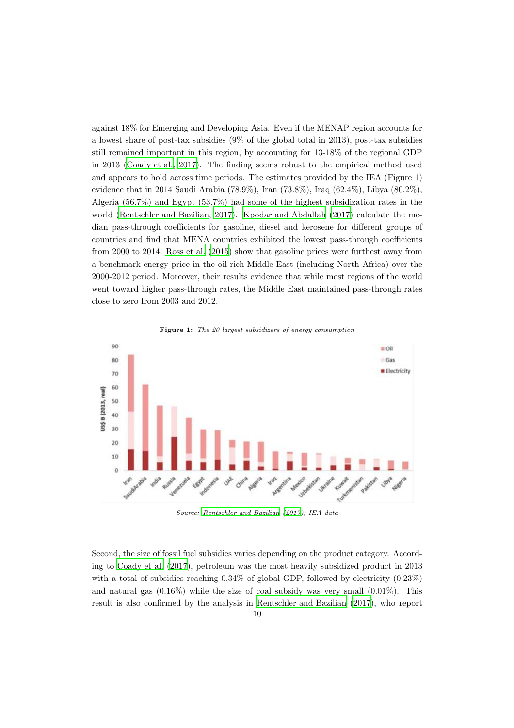against 18% for Emerging and Developing Asia. Even if the MENAP region accounts for a lowest share of post-tax subsidies (9% of the global total in 2013), post-tax subsidies still remained important in this region, by accounting for 13-18% of the regional GDP in 2013 [\(Coady et al.](#page-44-7), [2017](#page-44-7)). The finding seems robust to the empirical method used and appears to hold across time periods. The estimates provided by the IEA (Figure 1) evidence that in 2014 Saudi Arabia (78.9%), Iran (73.8%), Iraq (62.4%), Libya (80.2%), Algeria (56.7%) and Egypt (53.7%) had some of the highest subsidization rates in the world [\(Rentschler and Bazilian, 2017\)](#page-46-8). [Kpodar and Abdallah \(2017](#page-45-7)) calculate the median pass-through coefficients for gasoline, diesel and kerosene for different groups of countries and find that MENA countries exhibited the lowest pass-through coefficients from 2000 to 2014. [Ross et al. \(2015\)](#page-46-6) show that gasoline prices were furthest away from a benchmark energy price in the oil-rich Middle East (including North Africa) over the 2000-2012 period. Moreover, their results evidence that while most regions of the world went toward higher pass-through rates, the Middle East maintained pass-through rates close to zero from 2003 and 2012.





Source: [Rentschler and Bazilian \(2017\)](#page-46-8); IEA data

Second, the size of fossil fuel subsidies varies depending on the product category. According to [Coady et al. \(2017\)](#page-44-7), petroleum was the most heavily subsidized product in 2013 with a total of subsidies reaching  $0.34\%$  of global GDP, followed by electricity  $(0.23\%)$ and natural gas  $(0.16\%)$  while the size of coal subsidy was very small  $(0.01\%)$ . This result is also confirmed by the analysis in [Rentschler and Bazilian \(2017\)](#page-46-8), who report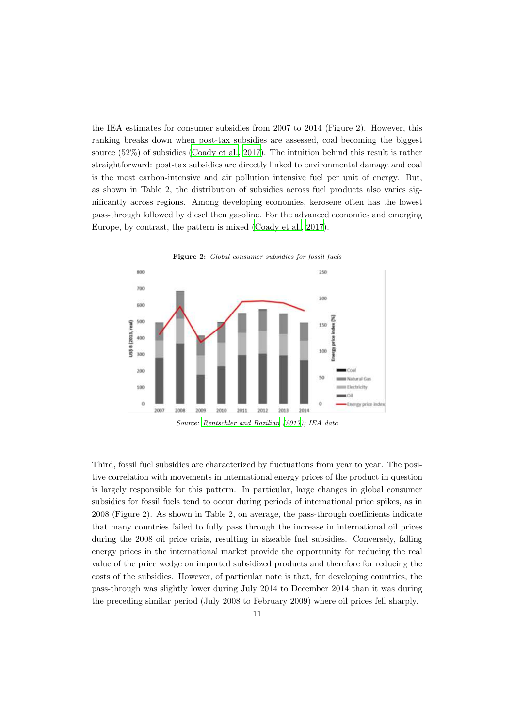the IEA estimates for consumer subsidies from 2007 to 2014 (Figure 2). However, this ranking breaks down when post-tax subsidies are assessed, coal becoming the biggest source (52%) of subsidies [\(Coady et al., 2017\)](#page-44-7). The intuition behind this result is rather straightforward: post-tax subsidies are directly linked to environmental damage and coal is the most carbon-intensive and air pollution intensive fuel per unit of energy. But, as shown in Table 2, the distribution of subsidies across fuel products also varies significantly across regions. Among developing economies, kerosene often has the lowest pass-through followed by diesel then gasoline. For the advanced economies and emerging Europe, by contrast, the pattern is mixed [\(Coady et al., 2017\)](#page-44-7).



Figure 2: Global consumer subsidies for fossil fuels

Source: [Rentschler and Bazilian \(2017\)](#page-46-8); IEA data

Third, fossil fuel subsidies are characterized by fluctuations from year to year. The positive correlation with movements in international energy prices of the product in question is largely responsible for this pattern. In particular, large changes in global consumer subsidies for fossil fuels tend to occur during periods of international price spikes, as in 2008 (Figure 2). As shown in Table 2, on average, the pass-through coefficients indicate that many countries failed to fully pass through the increase in international oil prices during the 2008 oil price crisis, resulting in sizeable fuel subsidies. Conversely, falling energy prices in the international market provide the opportunity for reducing the real value of the price wedge on imported subsidized products and therefore for reducing the costs of the subsidies. However, of particular note is that, for developing countries, the pass-through was slightly lower during July 2014 to December 2014 than it was during the preceding similar period (July 2008 to February 2009) where oil prices fell sharply.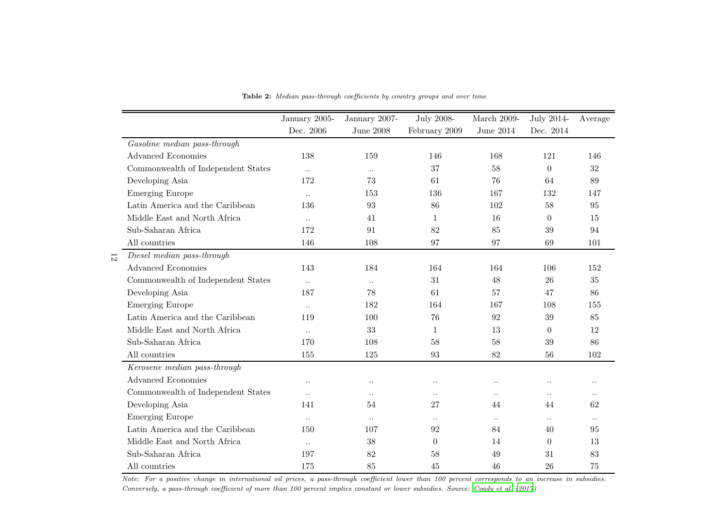|                |                                    | January 2005-        | January 2007-        | <b>July 2008-</b>    | March 2009-          | July 2014-           | Average   |
|----------------|------------------------------------|----------------------|----------------------|----------------------|----------------------|----------------------|-----------|
|                |                                    | Dec. 2006            | June $2008$          | February 2009        | June $2014$          | Dec. 2014            |           |
|                | Gasoline median pass-through       |                      |                      |                      |                      |                      |           |
|                | <b>Advanced Economies</b>          | 138                  | 159                  | 146                  | 168                  | 121                  | 146       |
|                | Commonwealth of Independent States | $\ddotsc$            | $\ddot{\phantom{0}}$ | 37                   | 58                   | $\Omega$             | 32        |
|                | Developing Asia                    | 172                  | 73                   | 61                   | 76                   | 64                   | 89        |
|                | <b>Emerging Europe</b>             | $\ddotsc$            | 153                  | 136                  | 167                  | 132                  | 147       |
|                | Latin America and the Caribbean    | 136                  | 93                   | 86                   | 102                  | 58                   | 95        |
|                | Middle East and North Africa       | $\ddots$             | 41                   | $\mathbf 1$          | 16                   | $\theta$             | 15        |
|                | Sub-Saharan Africa                 | 172                  | 91                   | 82                   | 85                   | 39                   | 94        |
|                | All countries                      | 146                  | 108                  | 97                   | 97                   | 69                   | 101       |
| $\overline{5}$ | Diesel median pass-through         |                      |                      |                      |                      |                      |           |
|                | <b>Advanced Economies</b>          | 143                  | 184                  | 164                  | 164                  | 106                  | 152       |
|                | Commonwealth of Independent States | $\ddots$             | $\ddot{\phantom{a}}$ | 31                   | 48                   | 26                   | 35        |
|                | Developing Asia                    | 187                  | 78                   | 61                   | 57                   | 47                   | 86        |
|                | <b>Emerging Europe</b>             | $\ddots$             | 182                  | 164                  | 167                  | 108                  | 155       |
|                | Latin America and the Caribbean    | 119                  | 100                  | 76                   | 92                   | 39                   | 85        |
|                | Middle East and North Africa       | $\ddots$             | 33                   | $\mathbf 1$          | 13                   | $\theta$             | 12        |
|                | Sub-Saharan Africa                 | 170                  | 108                  | 58                   | 58                   | 39                   | 86        |
|                | All countries                      | 155                  | 125                  | 93                   | 82                   | 56                   | 102       |
|                | Kerosene median pass-through       |                      |                      |                      |                      |                      |           |
|                | <b>Advanced Economies</b>          | $\ddot{\phantom{a}}$ | $\ddot{\phantom{0}}$ | $\ddot{\phantom{0}}$ | $\ddot{\phantom{0}}$ | $\ddot{\phantom{0}}$ | $\ddotsc$ |
|                | Commonwealth of Independent States | $\ddots$             | $\ddot{\phantom{a}}$ | $\ddotsc$            | $\ddotsc$            | $\ddotsc$            | $\ddotsc$ |
|                | Developing Asia                    | 141                  | 54                   | 27                   | 44                   | 44                   | 62        |
|                | <b>Emerging Europe</b>             | $\ddots$             | $\ddots$             | $\ddotsc$            | $\ddots$             | $\ddots$             | $\ddots$  |
|                | Latin America and the Caribbean    | 150                  | 107                  | 92                   | 84                   | 40                   | 95        |
|                | Middle East and North Africa       | $\ddotsc$            | 38                   | $\overline{0}$       | 14                   | $\theta$             | 13        |
|                | Sub-Saharan Africa                 | 197                  | 82                   | 58                   | 49                   | 31                   | 83        |
|                | All countries                      | 175                  | 85                   | 45                   | 46                   | 26                   | 75        |

Table 2: Median pass-through coefficients by country groups and over time

Note: For <sup>a</sup> positive change in international oil prices, <sup>a</sup> pass-through coefficient lower than <sup>100</sup> percent corresponds to an increase in subsidies. Conversely, <sup>a</sup> pass-through coefficient of more than <sup>100</sup> percent implies constant or lower subsidies. Source: [Coady](#page-44-9) et al. [\(2017\)](#page-44-9)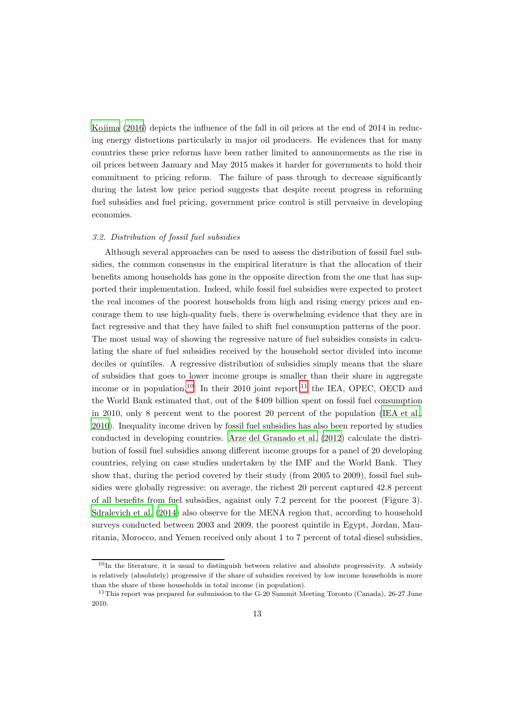[Kojima \(2016\)](#page-45-8) depicts the influence of the fall in oil prices at the end of 2014 in reducing energy distortions particularly in major oil producers. He evidences that for many countries these price reforms have been rather limited to announcements as the rise in oil prices between January and May 2015 makes it harder for governments to hold their commitment to pricing reform. The failure of pass through to decrease significantly during the latest low price period suggests that despite recent progress in reforming fuel subsidies and fuel pricing, government price control is still pervasive in developing economies.

#### 3.2. Distribution of fossil fuel subsidies

Although several approaches can be used to assess the distribution of fossil fuel subsidies, the common consensus in the empirical literature is that the allocation of their benefits among households has gone in the opposite direction from the one that has supported their implementation. Indeed, while fossil fuel subsidies were expected to protect the real incomes of the poorest households from high and rising energy prices and encourage them to use high-quality fuels, there is overwhelming evidence that they are in fact regressive and that they have failed to shift fuel consumption patterns of the poor. The most usual way of showing the regressive nature of fuel subsidies consists in calculating the share of fuel subsidies received by the household sector divided into income deciles or quintiles. A regressive distribution of subsidies simply means that the share of subsidies that goes to lower income groups is smaller than their share in aggregate income or in population.<sup>[10](#page-13-0)</sup> In their 2010 joint report,<sup>[11](#page-13-1)</sup> the IEA, OPEC, OECD and the World Bank estimated that, out of the \$409 billion spent on fossil fuel consumption in 2010, only 8 percent went to the poorest 20 percent of the population [\(IEA et al.](#page-45-0), [2010](#page-45-0)). Inequality income driven by fossil fuel subsidies has also been reported by studies conducted in developing countries. [Arze del Granado et al. \(2012](#page-44-10)) calculate the distribution of fossil fuel subsidies among different income groups for a panel of 20 developing countries, relying on case studies undertaken by the IMF and the World Bank. They show that, during the period covered by their study (from 2005 to 2009), fossil fuel subsidies were globally regressive: on average, the richest 20 percent captured 42.8 percent of all benefits from fuel subsidies, against only 7.2 percent for the poorest (Figure 3). [Sdralevich et al. \(2014\)](#page-46-9) also observe for the MENA region that, according to household surveys conducted between 2003 and 2009, the poorest quintile in Egypt, Jordan, Mauritania, Morocco, and Yemen received only about 1 to 7 percent of total diesel subsidies,

<span id="page-13-0"></span> $10$ In the literature, it is usual to distinguish between relative and absolute progressivity. A subsidy is relatively (absolutely) progressive if the share of subsidies received by low income households is more than the share of these households in total income (in population).

<span id="page-13-1"></span><sup>&</sup>lt;sup>11</sup>This report was prepared for submission to the G-20 Summit Meeting Toronto (Canada), 26-27 June 2010.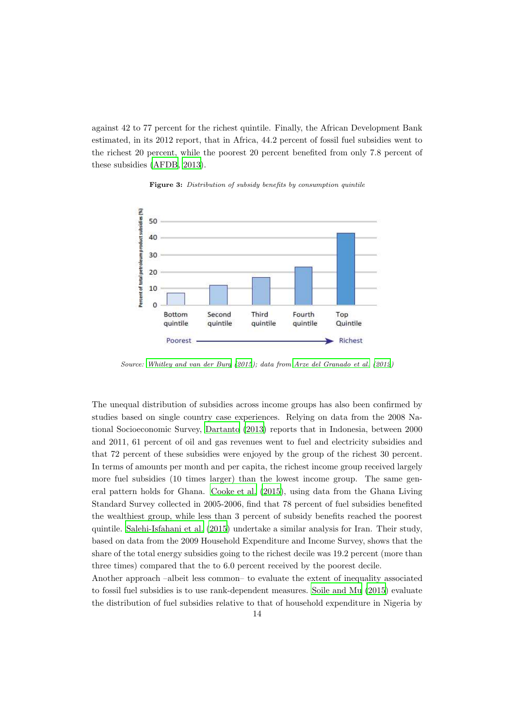against 42 to 77 percent for the richest quintile. Finally, the African Development Bank estimated, in its 2012 report, that in Africa, 44.2 percent of fossil fuel subsidies went to the richest 20 percent, while the poorest 20 percent benefited from only 7.8 percent of these subsidies [\(AFDB](#page-44-11), [2013](#page-44-11)).



Figure 3: Distribution of subsidy benefits by consumption quintile

Source: [Whitley and van der Burg \(2015](#page-47-1)); data from [Arze del Granado et al. \(2012](#page-44-10))

The unequal distribution of subsidies across income groups has also been confirmed by studies based on single country case experiences. Relying on data from the 2008 National Socioeconomic Survey, [Dartanto \(2013\)](#page-45-10) reports that in Indonesia, between 2000 and 2011, 61 percent of oil and gas revenues went to fuel and electricity subsidies and that 72 percent of these subsidies were enjoyed by the group of the richest 30 percent. In terms of amounts per month and per capita, the richest income group received largely more fuel subsidies (10 times larger) than the lowest income group. The same general pattern holds for Ghana. [Cooke et al. \(2015\)](#page-44-12), using data from the Ghana Living Standard Survey collected in 2005-2006, find that 78 percent of fuel subsidies benefited the wealthiest group, while less than 3 percent of subsidy benefits reached the poorest quintile. [Salehi-Isfahani et al. \(2015\)](#page-46-10) undertake a similar analysis for Iran. Their study, based on data from the 2009 Household Expenditure and Income Survey, shows that the share of the total energy subsidies going to the richest decile was 19.2 percent (more than three times) compared that the to 6.0 percent received by the poorest decile.

Another approach –albeit less common– to evaluate the extent of inequality associated to fossil fuel subsidies is to use rank-dependent measures. [Soile and Mu \(2015](#page-46-11)) evaluate the distribution of fuel subsidies relative to that of household expenditure in Nigeria by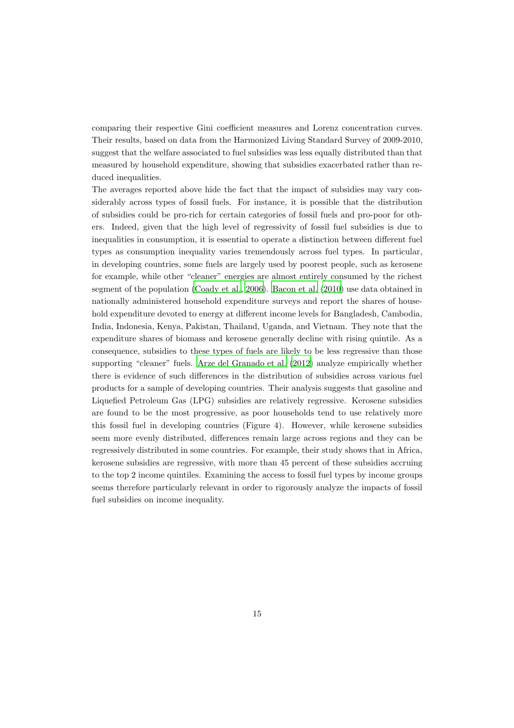comparing their respective Gini coefficient measures and Lorenz concentration curves. Their results, based on data from the Harmonized Living Standard Survey of 2009-2010, suggest that the welfare associated to fuel subsidies was less equally distributed than that measured by household expenditure, showing that subsidies exacerbated rather than reduced inequalities.

The averages reported above hide the fact that the impact of subsidies may vary considerably across types of fossil fuels. For instance, it is possible that the distribution of subsidies could be pro-rich for certain categories of fossil fuels and pro-poor for others. Indeed, given that the high level of regressivity of fossil fuel subsidies is due to inequalities in consumption, it is essential to operate a distinction between different fuel types as consumption inequality varies tremendously across fuel types. In particular, in developing countries, some fuels are largely used by poorest people, such as kerosene for example, while other "cleaner" energies are almost entirely consumed by the richest segment of the population [\(Coady et al., 2006\)](#page-44-13). [Bacon et al. \(2010\)](#page-44-2) use data obtained in nationally administered household expenditure surveys and report the shares of household expenditure devoted to energy at different income levels for Bangladesh, Cambodia, India, Indonesia, Kenya, Pakistan, Thailand, Uganda, and Vietnam. They note that the expenditure shares of biomass and kerosene generally decline with rising quintile. As a consequence, subsidies to these types of fuels are likely to be less regressive than those supporting "cleaner" fuels. [Arze del Granado et al. \(2012\)](#page-44-10) analyze empirically whether there is evidence of such differences in the distribution of subsidies across various fuel products for a sample of developing countries. Their analysis suggests that gasoline and Liquefied Petroleum Gas (LPG) subsidies are relatively regressive. Kerosene subsidies are found to be the most progressive, as poor households tend to use relatively more this fossil fuel in developing countries (Figure 4). However, while kerosene subsidies seem more evenly distributed, differences remain large across regions and they can be regressively distributed in some countries. For example, their study shows that in Africa, kerosene subsidies are regressive, with more than 45 percent of these subsidies accruing to the top 2 income quintiles. Examining the access to fossil fuel types by income groups seems therefore particularly relevant in order to rigorously analyze the impacts of fossil fuel subsidies on income inequality.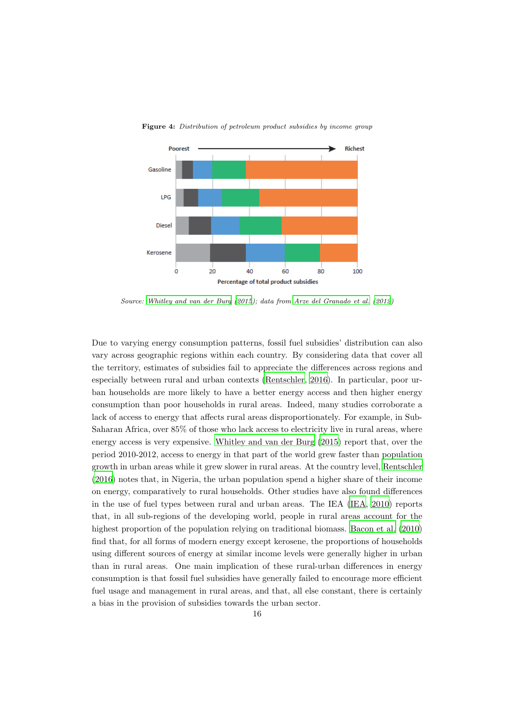

Figure 4: Distribution of petroleum product subsidies by income group

Source: [Whitley and van der Burg \(2015](#page-47-1)); data from [Arze del Granado et al. \(2012](#page-44-10))

Due to varying energy consumption patterns, fossil fuel subsidies' distribution can also vary across geographic regions within each country. By considering data that cover all the territory, estimates of subsidies fail to appreciate the differences across regions and especially between rural and urban contexts [\(Rentschler, 2016\)](#page-46-12). In particular, poor urban households are more likely to have a better energy access and then higher energy consumption than poor households in rural areas. Indeed, many studies corroborate a lack of access to energy that affects rural areas disproportionately. For example, in Sub-Saharan Africa, over 85% of those who lack access to electricity live in rural areas, where energy access is very expensive. [Whitley and van der Burg \(2015\)](#page-47-1) report that, over the period 2010-2012, access to energy in that part of the world grew faster than population growth in urban areas while it grew slower in rural areas. At the country level, [Rentschler](#page-46-12) [\(2016](#page-46-12)) notes that, in Nigeria, the urban population spend a higher share of their income on energy, comparatively to rural households. Other studies have also found differences in the use of fuel types between rural and urban areas. The IEA [\(IEA](#page-45-11), [2010](#page-45-11)) reports that, in all sub-regions of the developing world, people in rural areas account for the highest proportion of the population relying on traditional biomass. [Bacon et al. \(2010](#page-44-2)) find that, for all forms of modern energy except kerosene, the proportions of households using different sources of energy at similar income levels were generally higher in urban than in rural areas. One main implication of these rural-urban differences in energy consumption is that fossil fuel subsidies have generally failed to encourage more efficient fuel usage and management in rural areas, and that, all else constant, there is certainly a bias in the provision of subsidies towards the urban sector.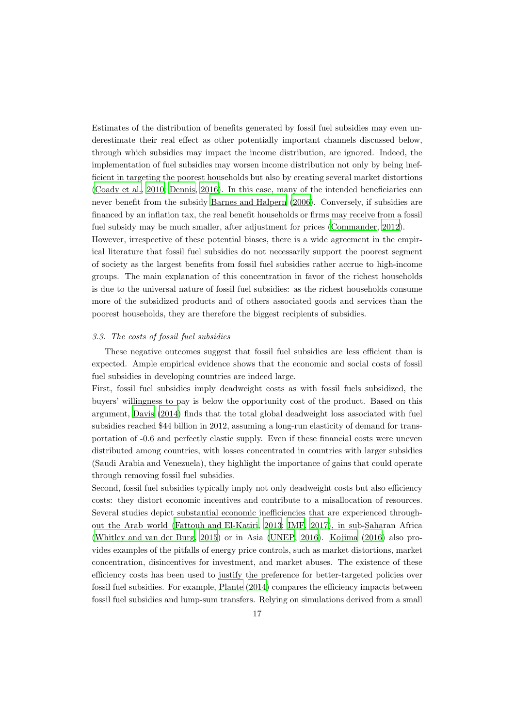Estimates of the distribution of benefits generated by fossil fuel subsidies may even underestimate their real effect as other potentially important channels discussed below, through which subsidies may impact the income distribution, are ignored. Indeed, the implementation of fuel subsidies may worsen income distribution not only by being inefficient in targeting the poorest households but also by creating several market distortions [\(Coady et al., 2010;](#page-44-14) [Dennis, 2016](#page-45-12)). In this case, many of the intended beneficiaries can never benefit from the subsidy [Barnes and Halpern \(2006](#page-44-15)). Conversely, if subsidies are financed by an inflation tax, the real benefit households or firms may receive from a fossil fuel subsidy may be much smaller, after adjustment for prices [\(Commander](#page-44-0), [2012\)](#page-44-0).

However, irrespective of these potential biases, there is a wide agreement in the empirical literature that fossil fuel subsidies do not necessarily support the poorest segment of society as the largest benefits from fossil fuel subsidies rather accrue to high-income groups. The main explanation of this concentration in favor of the richest households is due to the universal nature of fossil fuel subsidies: as the richest households consume more of the subsidized products and of others associated goods and services than the poorest households, they are therefore the biggest recipients of subsidies.

#### 3.3. The costs of fossil fuel subsidies

These negative outcomes suggest that fossil fuel subsidies are less efficient than is expected. Ample empirical evidence shows that the economic and social costs of fossil fuel subsidies in developing countries are indeed large.

First, fossil fuel subsidies imply deadweight costs as with fossil fuels subsidized, the buyers' willingness to pay is below the opportunity cost of the product. Based on this argument, [Davis \(2014\)](#page-45-13) finds that the total global deadweight loss associated with fuel subsidies reached \$44 billion in 2012, assuming a long-run elasticity of demand for transportation of -0.6 and perfectly elastic supply. Even if these financial costs were uneven distributed among countries, with losses concentrated in countries with larger subsidies (Saudi Arabia and Venezuela), they highlight the importance of gains that could operate through removing fossil fuel subsidies.

Second, fossil fuel subsidies typically imply not only deadweight costs but also efficiency costs: they distort economic incentives and contribute to a misallocation of resources. Several studies depict substantial economic inefficiencies that are experienced throughout the Arab world [\(Fattouh and El-Katiri, 2013;](#page-45-2) [IMF](#page-45-14), [2017\)](#page-45-14), in sub-Saharan Africa [\(Whitley and van der Burg, 2015\)](#page-47-1) or in Asia [\(UNEP](#page-46-13), [2016](#page-46-13)). [Kojima \(2016](#page-45-8)) also provides examples of the pitfalls of energy price controls, such as market distortions, market concentration, disincentives for investment, and market abuses. The existence of these efficiency costs has been used to justify the preference for better-targeted policies over fossil fuel subsidies. For example, [Plante \(2014](#page-46-14)) compares the efficiency impacts between fossil fuel subsidies and lump-sum transfers. Relying on simulations derived from a small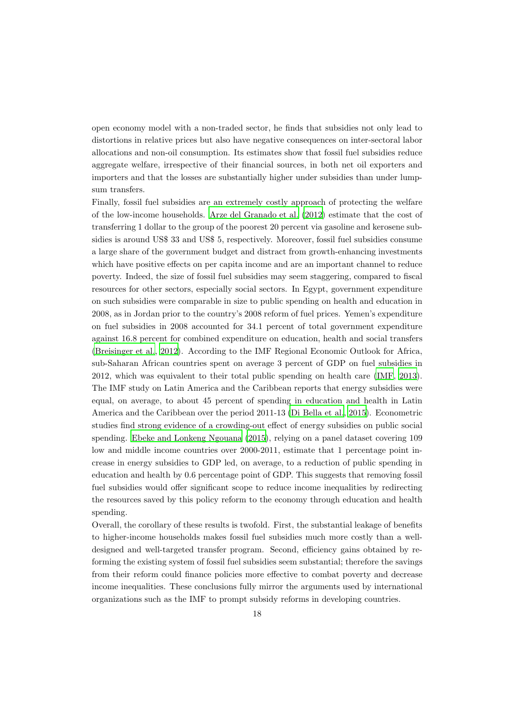open economy model with a non-traded sector, he finds that subsidies not only lead to distortions in relative prices but also have negative consequences on inter-sectoral labor allocations and non-oil consumption. Its estimates show that fossil fuel subsidies reduce aggregate welfare, irrespective of their financial sources, in both net oil exporters and importers and that the losses are substantially higher under subsidies than under lumpsum transfers.

Finally, fossil fuel subsidies are an extremely costly approach of protecting the welfare of the low-income households. [Arze del Granado et al. \(2012\)](#page-44-10) estimate that the cost of transferring 1 dollar to the group of the poorest 20 percent via gasoline and kerosene subsidies is around US\$ 33 and US\$ 5, respectively. Moreover, fossil fuel subsidies consume a large share of the government budget and distract from growth-enhancing investments which have positive effects on per capita income and are an important channel to reduce poverty. Indeed, the size of fossil fuel subsidies may seem staggering, compared to fiscal resources for other sectors, especially social sectors. In Egypt, government expenditure on such subsidies were comparable in size to public spending on health and education in 2008, as in Jordan prior to the country's 2008 reform of fuel prices. Yemen's expenditure on fuel subsidies in 2008 accounted for 34.1 percent of total government expenditure against 16.8 percent for combined expenditure on education, health and social transfers [\(Breisinger et al.](#page-44-16), [2012\)](#page-44-16). According to the IMF Regional Economic Outlook for Africa, sub-Saharan African countries spent on average 3 percent of GDP on fuel subsidies in 2012, which was equivalent to their total public spending on health care [\(IMF, 2013\)](#page-45-15). The IMF study on Latin America and the Caribbean reports that energy subsidies were equal, on average, to about 45 percent of spending in education and health in Latin America and the Caribbean over the period 2011-13 [\(Di Bella et al.](#page-45-3), [2015\)](#page-45-3). Econometric studies find strong evidence of a crowding-out effect of energy subsidies on public social spending. [Ebeke and Lonkeng Ngouana \(2015\)](#page-45-16), relying on a panel dataset covering 109 low and middle income countries over 2000-2011, estimate that 1 percentage point increase in energy subsidies to GDP led, on average, to a reduction of public spending in education and health by 0.6 percentage point of GDP. This suggests that removing fossil fuel subsidies would offer significant scope to reduce income inequalities by redirecting the resources saved by this policy reform to the economy through education and health spending.

Overall, the corollary of these results is twofold. First, the substantial leakage of benefits to higher-income households makes fossil fuel subsidies much more costly than a welldesigned and well-targeted transfer program. Second, efficiency gains obtained by reforming the existing system of fossil fuel subsidies seem substantial; therefore the savings from their reform could finance policies more effective to combat poverty and decrease income inequalities. These conclusions fully mirror the arguments used by international organizations such as the IMF to prompt subsidy reforms in developing countries.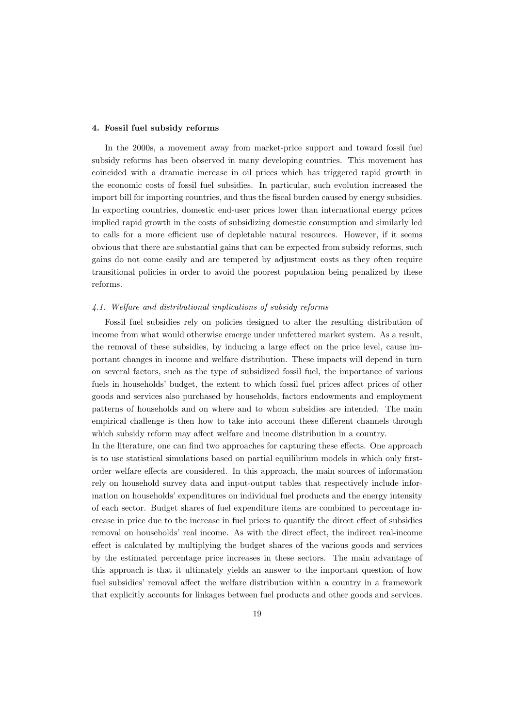#### 4. Fossil fuel subsidy reforms

In the 2000s, a movement away from market-price support and toward fossil fuel subsidy reforms has been observed in many developing countries. This movement has coincided with a dramatic increase in oil prices which has triggered rapid growth in the economic costs of fossil fuel subsidies. In particular, such evolution increased the import bill for importing countries, and thus the fiscal burden caused by energy subsidies. In exporting countries, domestic end-user prices lower than international energy prices implied rapid growth in the costs of subsidizing domestic consumption and similarly led to calls for a more efficient use of depletable natural resources. However, if it seems obvious that there are substantial gains that can be expected from subsidy reforms, such gains do not come easily and are tempered by adjustment costs as they often require transitional policies in order to avoid the poorest population being penalized by these reforms.

#### 4.1. Welfare and distributional implications of subsidy reforms

Fossil fuel subsidies rely on policies designed to alter the resulting distribution of income from what would otherwise emerge under unfettered market system. As a result, the removal of these subsidies, by inducing a large effect on the price level, cause important changes in income and welfare distribution. These impacts will depend in turn on several factors, such as the type of subsidized fossil fuel, the importance of various fuels in households' budget, the extent to which fossil fuel prices affect prices of other goods and services also purchased by households, factors endowments and employment patterns of households and on where and to whom subsidies are intended. The main empirical challenge is then how to take into account these different channels through which subsidy reform may affect welfare and income distribution in a country.

In the literature, one can find two approaches for capturing these effects. One approach is to use statistical simulations based on partial equilibrium models in which only firstorder welfare effects are considered. In this approach, the main sources of information rely on household survey data and input-output tables that respectively include information on households' expenditures on individual fuel products and the energy intensity of each sector. Budget shares of fuel expenditure items are combined to percentage increase in price due to the increase in fuel prices to quantify the direct effect of subsidies removal on households' real income. As with the direct effect, the indirect real-income effect is calculated by multiplying the budget shares of the various goods and services by the estimated percentage price increases in these sectors. The main advantage of this approach is that it ultimately yields an answer to the important question of how fuel subsidies' removal affect the welfare distribution within a country in a framework that explicitly accounts for linkages between fuel products and other goods and services.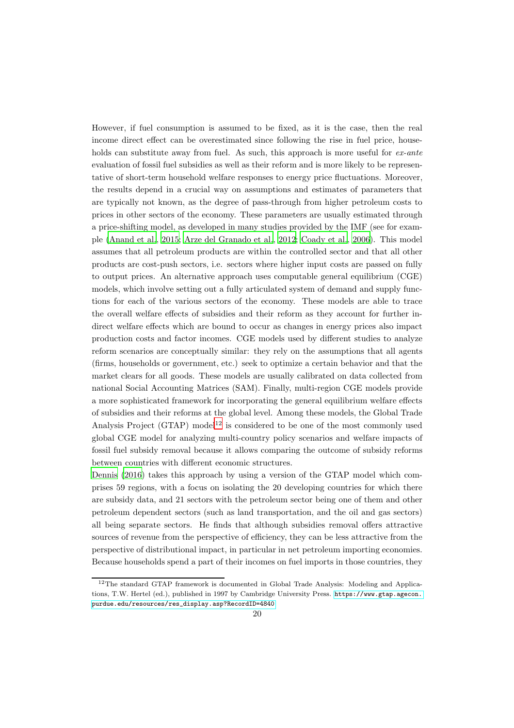However, if fuel consumption is assumed to be fixed, as it is the case, then the real income direct effect can be overestimated since following the rise in fuel price, households can substitute away from fuel. As such, this approach is more useful for ex-ante evaluation of fossil fuel subsidies as well as their reform and is more likely to be representative of short-term household welfare responses to energy price fluctuations. Moreover, the results depend in a crucial way on assumptions and estimates of parameters that are typically not known, as the degree of pass-through from higher petroleum costs to prices in other sectors of the economy. These parameters are usually estimated through a price-shifting model, as developed in many studies provided by the IMF (see for example [\(Anand et al., 2015](#page-44-17); [Arze del Granado et al.](#page-44-10), [2012;](#page-44-10) [Coady et al., 2006](#page-44-13)). This model assumes that all petroleum products are within the controlled sector and that all other products are cost-push sectors, i.e. sectors where higher input costs are passed on fully to output prices. An alternative approach uses computable general equilibrium (CGE) models, which involve setting out a fully articulated system of demand and supply functions for each of the various sectors of the economy. These models are able to trace the overall welfare effects of subsidies and their reform as they account for further indirect welfare effects which are bound to occur as changes in energy prices also impact production costs and factor incomes. CGE models used by different studies to analyze reform scenarios are conceptually similar: they rely on the assumptions that all agents (firms, households or government, etc.) seek to optimize a certain behavior and that the market clears for all goods. These models are usually calibrated on data collected from national Social Accounting Matrices (SAM). Finally, multi-region CGE models provide a more sophisticated framework for incorporating the general equilibrium welfare effects of subsidies and their reforms at the global level. Among these models, the Global Trade Analysis Project  $(GTAP)$  model<sup>[12](#page-20-0)</sup> is considered to be one of the most commonly used global CGE model for analyzing multi-country policy scenarios and welfare impacts of fossil fuel subsidy removal because it allows comparing the outcome of subsidy reforms between countries with different economic structures.

[Dennis \(2016\)](#page-45-12) takes this approach by using a version of the GTAP model which comprises 59 regions, with a focus on isolating the 20 developing countries for which there are subsidy data, and 21 sectors with the petroleum sector being one of them and other petroleum dependent sectors (such as land transportation, and the oil and gas sectors) all being separate sectors. He finds that although subsidies removal offers attractive sources of revenue from the perspective of efficiency, they can be less attractive from the perspective of distributional impact, in particular in net petroleum importing economies. Because households spend a part of their incomes on fuel imports in those countries, they

<span id="page-20-0"></span><sup>12</sup>The standard GTAP framework is documented in Global Trade Analysis: Modeling and Applications, T.W. Hertel (ed.), published in 1997 by Cambridge University Press. [https://www.gtap.agecon.](https://www.gtap.agecon.purdue.edu/resources/res_display.asp?RecordID=4840) [purdue.edu/resources/res\\_display.asp?RecordID=4840](https://www.gtap.agecon.purdue.edu/resources/res_display.asp?RecordID=4840)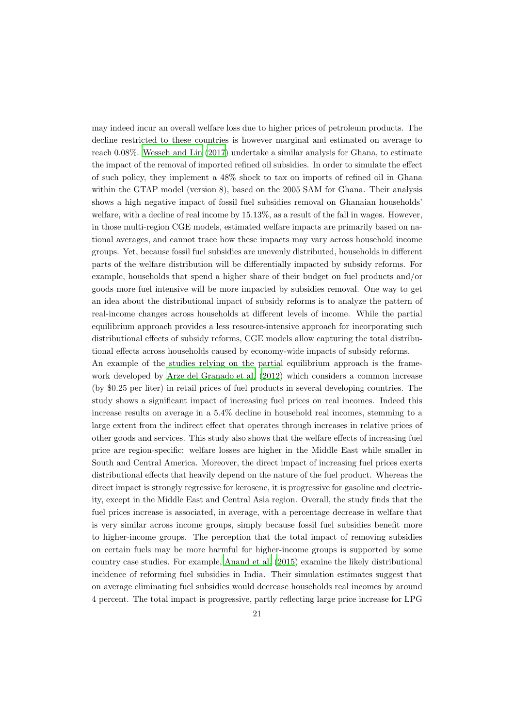may indeed incur an overall welfare loss due to higher prices of petroleum products. The decline restricted to these countries is however marginal and estimated on average to reach 0.08%. [Wesseh and Lin \(2017\)](#page-46-15) undertake a similar analysis for Ghana, to estimate the impact of the removal of imported refined oil subsidies. In order to simulate the effect of such policy, they implement a 48% shock to tax on imports of refined oil in Ghana within the GTAP model (version 8), based on the 2005 SAM for Ghana. Their analysis shows a high negative impact of fossil fuel subsidies removal on Ghanaian households' welfare, with a decline of real income by 15.13%, as a result of the fall in wages. However, in those multi-region CGE models, estimated welfare impacts are primarily based on national averages, and cannot trace how these impacts may vary across household income groups. Yet, because fossil fuel subsidies are unevenly distributed, households in different parts of the welfare distribution will be differentially impacted by subsidy reforms. For example, households that spend a higher share of their budget on fuel products and/or goods more fuel intensive will be more impacted by subsidies removal. One way to get an idea about the distributional impact of subsidy reforms is to analyze the pattern of real-income changes across households at different levels of income. While the partial equilibrium approach provides a less resource-intensive approach for incorporating such distributional effects of subsidy reforms, CGE models allow capturing the total distributional effects across households caused by economy-wide impacts of subsidy reforms. An example of the studies relying on the partial equilibrium approach is the frame-

work developed by [Arze del Granado et al. \(2012\)](#page-44-10) which considers a common increase (by \$0.25 per liter) in retail prices of fuel products in several developing countries. The study shows a significant impact of increasing fuel prices on real incomes. Indeed this increase results on average in a 5.4% decline in household real incomes, stemming to a large extent from the indirect effect that operates through increases in relative prices of other goods and services. This study also shows that the welfare effects of increasing fuel price are region-specific: welfare losses are higher in the Middle East while smaller in South and Central America. Moreover, the direct impact of increasing fuel prices exerts distributional effects that heavily depend on the nature of the fuel product. Whereas the direct impact is strongly regressive for kerosene, it is progressive for gasoline and electricity, except in the Middle East and Central Asia region. Overall, the study finds that the fuel prices increase is associated, in average, with a percentage decrease in welfare that is very similar across income groups, simply because fossil fuel subsidies benefit more to higher-income groups. The perception that the total impact of removing subsidies on certain fuels may be more harmful for higher-income groups is supported by some country case studies. For example, [Anand et al. \(2015\)](#page-44-17) examine the likely distributional incidence of reforming fuel subsidies in India. Their simulation estimates suggest that on average eliminating fuel subsidies would decrease households real incomes by around 4 percent. The total impact is progressive, partly reflecting large price increase for LPG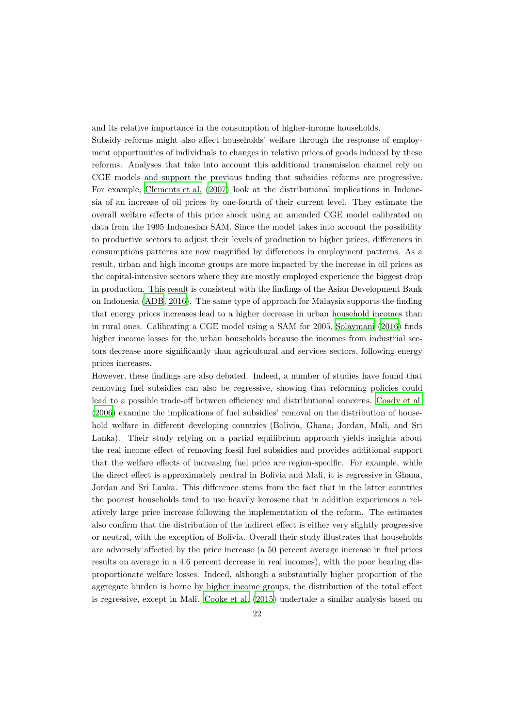and its relative importance in the consumption of higher-income households.

Subsidy reforms might also affect households' welfare through the response of employment opportunities of individuals to changes in relative prices of goods induced by these reforms. Analyses that take into account this additional transmission channel rely on CGE models and support the previous finding that subsidies reforms are progressive. For example, [Clements et al. \(2007\)](#page-44-18) look at the distributional implications in Indonesia of an increase of oil prices by one-fourth of their current level. They estimate the overall welfare effects of this price shock using an amended CGE model calibrated on data from the 1995 Indonesian SAM. Since the model takes into account the possibility to productive sectors to adjust their levels of production to higher prices, differences in consumptions patterns are now magnified by differences in employment patterns. As a result, urban and high income groups are more impacted by the increase in oil prices as the capital-intensive sectors where they are mostly employed experience the biggest drop in production. This result is consistent with the findings of the Asian Development Bank on Indonesia [\(ADB, 2016\)](#page-44-4). The same type of approach for Malaysia supports the finding that energy prices increases lead to a higher decrease in urban household incomes than in rural ones. Calibrating a CGE model using a SAM for 2005, [Solaymani \(2016\)](#page-46-16) finds higher income losses for the urban households because the incomes from industrial sectors decrease more significantly than agricultural and services sectors, following energy prices increases.

However, these findings are also debated. Indeed, a number of studies have found that removing fuel subsidies can also be regressive, showing that reforming policies could lead to a possible trade-off between efficiency and distributional concerns. [Coady et al.](#page-44-13) [\(2006](#page-44-13)) examine the implications of fuel subsidies' removal on the distribution of household welfare in different developing countries (Bolivia, Ghana, Jordan, Mali, and Sri Lanka). Their study relying on a partial equilibrium approach yields insights about the real income effect of removing fossil fuel subsidies and provides additional support that the welfare effects of increasing fuel price are region-specific. For example, while the direct effect is approximately neutral in Bolivia and Mali, it is regressive in Ghana, Jordan and Sri Lanka. This difference stems from the fact that in the latter countries the poorest households tend to use heavily kerosene that in addition experiences a relatively large price increase following the implementation of the reform. The estimates also confirm that the distribution of the indirect effect is either very slightly progressive or neutral, with the exception of Bolivia. Overall their study illustrates that households are adversely affected by the price increase (a 50 percent average increase in fuel prices results on average in a 4.6 percent decrease in real incomes), with the poor bearing disproportionate welfare losses. Indeed, although a substantially higher proportion of the aggregate burden is borne by higher income groups, the distribution of the total effect is regressive, except in Mali. [Cooke et al. \(2015](#page-44-12)) undertake a similar analysis based on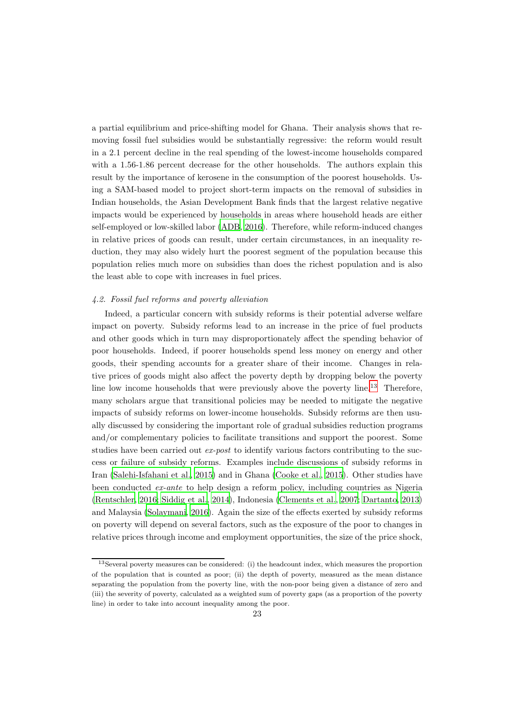a partial equilibrium and price-shifting model for Ghana. Their analysis shows that removing fossil fuel subsidies would be substantially regressive: the reform would result in a 2.1 percent decline in the real spending of the lowest-income households compared with a 1.56-1.86 percent decrease for the other households. The authors explain this result by the importance of kerosene in the consumption of the poorest households. Using a SAM-based model to project short-term impacts on the removal of subsidies in Indian households, the Asian Development Bank finds that the largest relative negative impacts would be experienced by households in areas where household heads are either self-employed or low-skilled labor [\(ADB](#page-44-4), [2016\)](#page-44-4). Therefore, while reform-induced changes in relative prices of goods can result, under certain circumstances, in an inequality reduction, they may also widely hurt the poorest segment of the population because this population relies much more on subsidies than does the richest population and is also the least able to cope with increases in fuel prices.

#### 4.2. Fossil fuel reforms and poverty alleviation

Indeed, a particular concern with subsidy reforms is their potential adverse welfare impact on poverty. Subsidy reforms lead to an increase in the price of fuel products and other goods which in turn may disproportionately affect the spending behavior of poor households. Indeed, if poorer households spend less money on energy and other goods, their spending accounts for a greater share of their income. Changes in relative prices of goods might also affect the poverty depth by dropping below the poverty line low income households that were previously above the poverty line.<sup>[13](#page-23-0)</sup> Therefore, many scholars argue that transitional policies may be needed to mitigate the negative impacts of subsidy reforms on lower-income households. Subsidy reforms are then usually discussed by considering the important role of gradual subsidies reduction programs and/or complementary policies to facilitate transitions and support the poorest. Some studies have been carried out ex-post to identify various factors contributing to the success or failure of subsidy reforms. Examples include discussions of subsidy reforms in Iran [\(Salehi-Isfahani et al.](#page-46-10), [2015\)](#page-46-10) and in Ghana [\(Cooke et al.](#page-44-12), [2015\)](#page-44-12). Other studies have been conducted ex-ante to help design a reform policy, including countries as Nigeria [\(Rentschler, 2016;](#page-46-12) [Siddig et al., 2014\)](#page-46-17), Indonesia [\(Clements et al., 2007](#page-44-18); [Dartanto, 2013](#page-45-10)) and Malaysia [\(Solaymani, 2016\)](#page-46-16). Again the size of the effects exerted by subsidy reforms on poverty will depend on several factors, such as the exposure of the poor to changes in relative prices through income and employment opportunities, the size of the price shock,

<span id="page-23-0"></span><sup>13</sup>Several poverty measures can be considered: (i) the headcount index, which measures the proportion of the population that is counted as poor; (ii) the depth of poverty, measured as the mean distance separating the population from the poverty line, with the non-poor being given a distance of zero and (iii) the severity of poverty, calculated as a weighted sum of poverty gaps (as a proportion of the poverty line) in order to take into account inequality among the poor.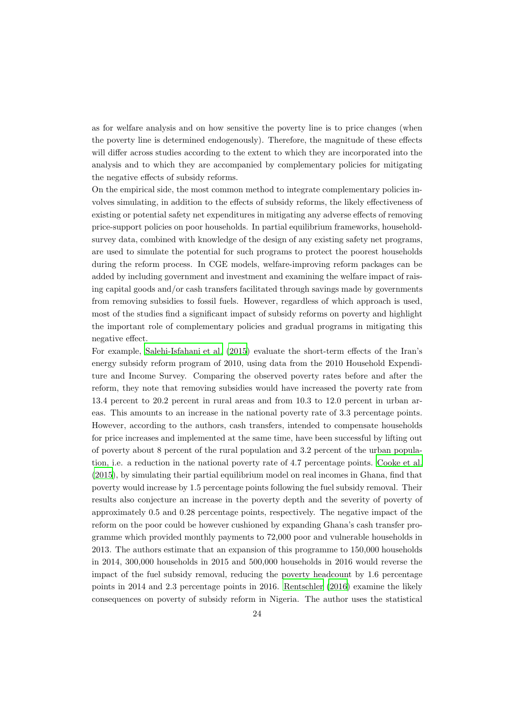as for welfare analysis and on how sensitive the poverty line is to price changes (when the poverty line is determined endogenously). Therefore, the magnitude of these effects will differ across studies according to the extent to which they are incorporated into the analysis and to which they are accompanied by complementary policies for mitigating the negative effects of subsidy reforms.

On the empirical side, the most common method to integrate complementary policies involves simulating, in addition to the effects of subsidy reforms, the likely effectiveness of existing or potential safety net expenditures in mitigating any adverse effects of removing price-support policies on poor households. In partial equilibrium frameworks, householdsurvey data, combined with knowledge of the design of any existing safety net programs, are used to simulate the potential for such programs to protect the poorest households during the reform process. In CGE models, welfare-improving reform packages can be added by including government and investment and examining the welfare impact of raising capital goods and/or cash transfers facilitated through savings made by governments from removing subsidies to fossil fuels. However, regardless of which approach is used, most of the studies find a significant impact of subsidy reforms on poverty and highlight the important role of complementary policies and gradual programs in mitigating this negative effect.

For example, [Salehi-Isfahani et al. \(2015\)](#page-46-10) evaluate the short-term effects of the Iran's energy subsidy reform program of 2010, using data from the 2010 Household Expenditure and Income Survey. Comparing the observed poverty rates before and after the reform, they note that removing subsidies would have increased the poverty rate from 13.4 percent to 20.2 percent in rural areas and from 10.3 to 12.0 percent in urban areas. This amounts to an increase in the national poverty rate of 3.3 percentage points. However, according to the authors, cash transfers, intended to compensate households for price increases and implemented at the same time, have been successful by lifting out of poverty about 8 percent of the rural population and 3.2 percent of the urban population, i.e. a reduction in the national poverty rate of 4.7 percentage points. [Cooke et al.](#page-44-12) [\(2015](#page-44-12)), by simulating their partial equilibrium model on real incomes in Ghana, find that poverty would increase by 1.5 percentage points following the fuel subsidy removal. Their results also conjecture an increase in the poverty depth and the severity of poverty of approximately 0.5 and 0.28 percentage points, respectively. The negative impact of the reform on the poor could be however cushioned by expanding Ghana's cash transfer programme which provided monthly payments to 72,000 poor and vulnerable households in 2013. The authors estimate that an expansion of this programme to 150,000 households in 2014, 300,000 households in 2015 and 500,000 households in 2016 would reverse the impact of the fuel subsidy removal, reducing the poverty headcount by 1.6 percentage points in 2014 and 2.3 percentage points in 2016. [Rentschler \(2016\)](#page-46-12) examine the likely consequences on poverty of subsidy reform in Nigeria. The author uses the statistical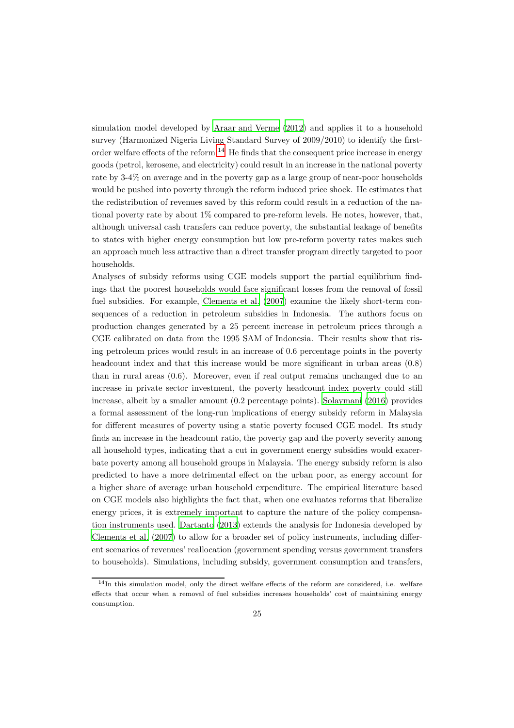simulation model developed by [Araar and Verme \(2012\)](#page-44-19) and applies it to a household survey (Harmonized Nigeria Living Standard Survey of 2009/2010) to identify the first-order welfare effects of the reform.<sup>[14](#page-25-0)</sup> He finds that the consequent price increase in energy goods (petrol, kerosene, and electricity) could result in an increase in the national poverty rate by 3-4% on average and in the poverty gap as a large group of near-poor households would be pushed into poverty through the reform induced price shock. He estimates that the redistribution of revenues saved by this reform could result in a reduction of the national poverty rate by about 1% compared to pre-reform levels. He notes, however, that, although universal cash transfers can reduce poverty, the substantial leakage of benefits to states with higher energy consumption but low pre-reform poverty rates makes such an approach much less attractive than a direct transfer program directly targeted to poor households.

Analyses of subsidy reforms using CGE models support the partial equilibrium findings that the poorest households would face significant losses from the removal of fossil fuel subsidies. For example, [Clements et al. \(2007](#page-44-18)) examine the likely short-term consequences of a reduction in petroleum subsidies in Indonesia. The authors focus on production changes generated by a 25 percent increase in petroleum prices through a CGE calibrated on data from the 1995 SAM of Indonesia. Their results show that rising petroleum prices would result in an increase of 0.6 percentage points in the poverty headcount index and that this increase would be more significant in urban areas  $(0.8)$ than in rural areas (0.6). Moreover, even if real output remains unchanged due to an increase in private sector investment, the poverty headcount index poverty could still increase, albeit by a smaller amount (0.2 percentage points). [Solaymani \(2016\)](#page-46-16) provides a formal assessment of the long-run implications of energy subsidy reform in Malaysia for different measures of poverty using a static poverty focused CGE model. Its study finds an increase in the headcount ratio, the poverty gap and the poverty severity among all household types, indicating that a cut in government energy subsidies would exacerbate poverty among all household groups in Malaysia. The energy subsidy reform is also predicted to have a more detrimental effect on the urban poor, as energy account for a higher share of average urban household expenditure. The empirical literature based on CGE models also highlights the fact that, when one evaluates reforms that liberalize energy prices, it is extremely important to capture the nature of the policy compensation instruments used. [Dartanto \(2013\)](#page-45-10) extends the analysis for Indonesia developed by [Clements et al. \(2007](#page-44-18)) to allow for a broader set of policy instruments, including different scenarios of revenues' reallocation (government spending versus government transfers to households). Simulations, including subsidy, government consumption and transfers,

<span id="page-25-0"></span><sup>14</sup>In this simulation model, only the direct welfare effects of the reform are considered, i.e. welfare effects that occur when a removal of fuel subsidies increases households' cost of maintaining energy consumption.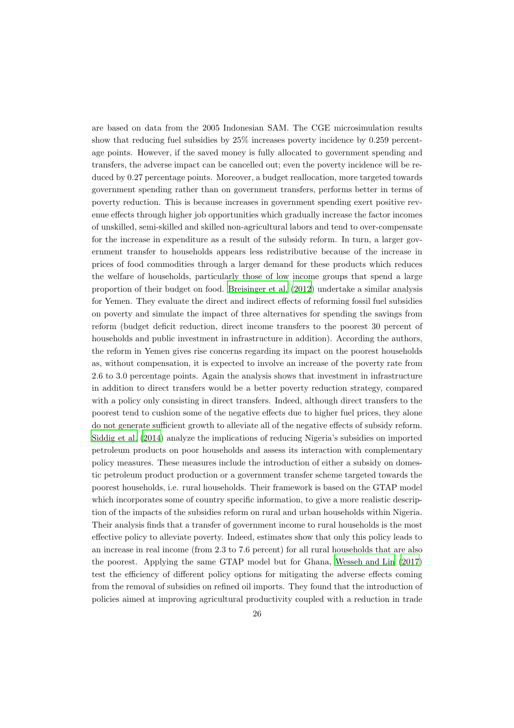are based on data from the 2005 Indonesian SAM. The CGE microsimulation results show that reducing fuel subsidies by 25% increases poverty incidence by 0.259 percentage points. However, if the saved money is fully allocated to government spending and transfers, the adverse impact can be cancelled out; even the poverty incidence will be reduced by 0.27 percentage points. Moreover, a budget reallocation, more targeted towards government spending rather than on government transfers, performs better in terms of poverty reduction. This is because increases in government spending exert positive revenue effects through higher job opportunities which gradually increase the factor incomes of unskilled, semi-skilled and skilled non-agricultural labors and tend to over-compensate for the increase in expenditure as a result of the subsidy reform. In turn, a larger government transfer to households appears less redistributive because of the increase in prices of food commodities through a larger demand for these products which reduces the welfare of households, particularly those of low income groups that spend a large proportion of their budget on food. [Breisinger et al. \(2012](#page-44-16)) undertake a similar analysis for Yemen. They evaluate the direct and indirect effects of reforming fossil fuel subsidies on poverty and simulate the impact of three alternatives for spending the savings from reform (budget deficit reduction, direct income transfers to the poorest 30 percent of households and public investment in infrastructure in addition). According the authors, the reform in Yemen gives rise concerns regarding its impact on the poorest households as, without compensation, it is expected to involve an increase of the poverty rate from 2.6 to 3.0 percentage points. Again the analysis shows that investment in infrastructure in addition to direct transfers would be a better poverty reduction strategy, compared with a policy only consisting in direct transfers. Indeed, although direct transfers to the poorest tend to cushion some of the negative effects due to higher fuel prices, they alone do not generate sufficient growth to alleviate all of the negative effects of subsidy reform. [Siddig et al. \(2014\)](#page-46-17) analyze the implications of reducing Nigeria's subsidies on imported petroleum products on poor households and assess its interaction with complementary policy measures. These measures include the introduction of either a subsidy on domestic petroleum product production or a government transfer scheme targeted towards the poorest households, i.e. rural households. Their framework is based on the GTAP model which incorporates some of country specific information, to give a more realistic description of the impacts of the subsidies reform on rural and urban households within Nigeria. Their analysis finds that a transfer of government income to rural households is the most effective policy to alleviate poverty. Indeed, estimates show that only this policy leads to an increase in real income (from 2.3 to 7.6 percent) for all rural households that are also the poorest. Applying the same GTAP model but for Ghana, Wesseh [and Lin \(2017](#page-46-15)) test the efficiency of different policy options for mitigating the adverse effects coming from the removal of subsidies on refined oil imports. They found that the introduction of policies aimed at improving agricultural productivity coupled with a reduction in trade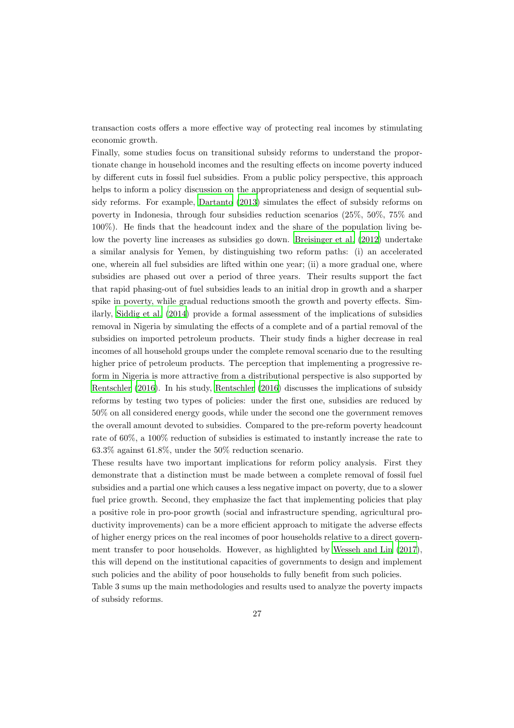transaction costs offers a more effective way of protecting real incomes by stimulating economic growth.

Finally, some studies focus on transitional subsidy reforms to understand the proportionate change in household incomes and the resulting effects on income poverty induced by different cuts in fossil fuel subsidies. From a public policy perspective, this approach helps to inform a policy discussion on the appropriateness and design of sequential subsidy reforms. For example, [Dartanto \(2013](#page-45-10)) simulates the effect of subsidy reforms on poverty in Indonesia, through four subsidies reduction scenarios (25%, 50%, 75% and 100%). He finds that the headcount index and the share of the population living below the poverty line increases as subsidies go down. [Breisinger et al. \(2012](#page-44-16)) undertake a similar analysis for Yemen, by distinguishing two reform paths: (i) an accelerated one, wherein all fuel subsidies are lifted within one year; (ii) a more gradual one, where subsidies are phased out over a period of three years. Their results support the fact that rapid phasing-out of fuel subsidies leads to an initial drop in growth and a sharper spike in poverty, while gradual reductions smooth the growth and poverty effects. Similarly, [Siddig et al. \(2014\)](#page-46-17) provide a formal assessment of the implications of subsidies removal in Nigeria by simulating the effects of a complete and of a partial removal of the subsidies on imported petroleum products. Their study finds a higher decrease in real incomes of all household groups under the complete removal scenario due to the resulting higher price of petroleum products. The perception that implementing a progressive reform in Nigeria is more attractive from a distributional perspective is also supported by [Rentschler \(2016\)](#page-46-12). In his study, [Rentschler \(2016\)](#page-46-12) discusses the implications of subsidy reforms by testing two types of policies: under the first one, subsidies are reduced by 50% on all considered energy goods, while under the second one the government removes the overall amount devoted to subsidies. Compared to the pre-reform poverty headcount rate of 60%, a 100% reduction of subsidies is estimated to instantly increase the rate to 63.3% against 61.8%, under the 50% reduction scenario.

These results have two important implications for reform policy analysis. First they demonstrate that a distinction must be made between a complete removal of fossil fuel subsidies and a partial one which causes a less negative impact on poverty, due to a slower fuel price growth. Second, they emphasize the fact that implementing policies that play a positive role in pro-poor growth (social and infrastructure spending, agricultural productivity improvements) can be a more efficient approach to mitigate the adverse effects of higher energy prices on the real incomes of poor households relative to a direct government transfer to poor households. However, as highlighted by [Wesseh and Lin \(2017\)](#page-46-15), this will depend on the institutional capacities of governments to design and implement such policies and the ability of poor households to fully benefit from such policies.

Table 3 sums up the main methodologies and results used to analyze the poverty impacts of subsidy reforms.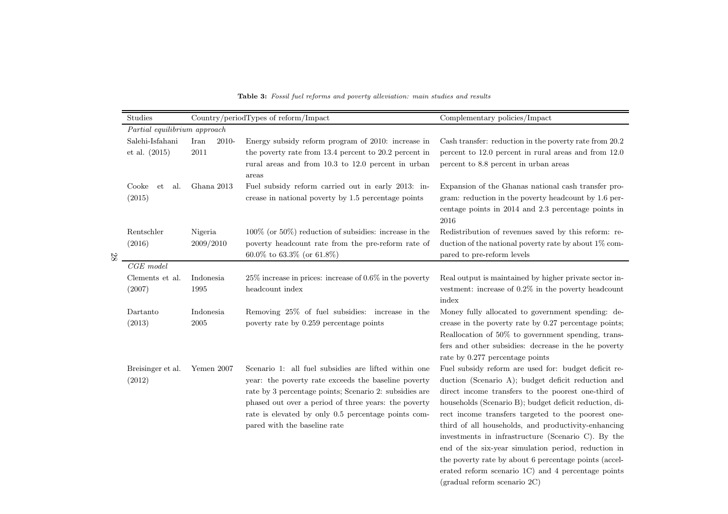| Studies                          |                       | Country/periodTypes of reform/Impact                                                                                                                                                                                                                                                                                 | Complementary policies/Impact                                                                                                                                                                                                                                                                                                                                                                                                                                                                                                                                                                        |
|----------------------------------|-----------------------|----------------------------------------------------------------------------------------------------------------------------------------------------------------------------------------------------------------------------------------------------------------------------------------------------------------------|------------------------------------------------------------------------------------------------------------------------------------------------------------------------------------------------------------------------------------------------------------------------------------------------------------------------------------------------------------------------------------------------------------------------------------------------------------------------------------------------------------------------------------------------------------------------------------------------------|
| Partial equilibrium approach     |                       |                                                                                                                                                                                                                                                                                                                      |                                                                                                                                                                                                                                                                                                                                                                                                                                                                                                                                                                                                      |
| Salehi-Isfahani<br>et al. (2015) | Iran<br>2010-<br>2011 | Energy subsidy reform program of 2010: increase in<br>the poverty rate from 13.4 percent to 20.2 percent in<br>rural areas and from 10.3 to 12.0 percent in urban<br>areas                                                                                                                                           | Cash transfer: reduction in the poverty rate from 20.2<br>percent to 12.0 percent in rural areas and from 12.0<br>percent to 8.8 percent in urban areas                                                                                                                                                                                                                                                                                                                                                                                                                                              |
| Cooke<br>et<br>al.<br>(2015)     | Ghana 2013            | Fuel subsidy reform carried out in early 2013: in-<br>crease in national poverty by 1.5 percentage points                                                                                                                                                                                                            | Expansion of the Ghanas national cash transfer pro-<br>gram: reduction in the poverty headcount by 1.6 per-<br>centage points in 2014 and 2.3 percentage points in<br>2016                                                                                                                                                                                                                                                                                                                                                                                                                           |
| Rentschler<br>(2016)             | Nigeria<br>2009/2010  | $100\%$ (or $50\%$ ) reduction of subsidies: increase in the<br>poverty headcount rate from the pre-reform rate of<br>$60.0\%$ to $63.3\%$ (or $61.8\%)$                                                                                                                                                             | Redistribution of revenues saved by this reform: re-<br>duction of the national poverty rate by about $1\%$ com-<br>pared to pre-reform levels                                                                                                                                                                                                                                                                                                                                                                                                                                                       |
| $CGE \ model$                    |                       |                                                                                                                                                                                                                                                                                                                      |                                                                                                                                                                                                                                                                                                                                                                                                                                                                                                                                                                                                      |
| Clements et al.<br>(2007)        | Indonesia<br>1995     | $25\%$ increase in prices: increase of 0.6% in the poverty<br>headcount index                                                                                                                                                                                                                                        | Real output is maintained by higher private sector in-<br>vestment: increase of $0.2\%$ in the poverty headcount<br>index                                                                                                                                                                                                                                                                                                                                                                                                                                                                            |
| Dartanto<br>(2013)               | Indonesia<br>2005     | Removing 25% of fuel subsidies: increase in the<br>poverty rate by 0.259 percentage points                                                                                                                                                                                                                           | Money fully allocated to government spending: de-<br>crease in the poverty rate by 0.27 percentage points;<br>Reallocation of 50% to government spending, trans-<br>fers and other subsidies: decrease in the he poverty<br>rate by 0.277 percentage points                                                                                                                                                                                                                                                                                                                                          |
| Breisinger et al.<br>(2012)      | Yemen 2007            | Scenario 1: all fuel subsidies are lifted within one<br>year: the poverty rate exceeds the baseline poverty<br>rate by 3 percentage points; Scenario 2: subsidies are<br>phased out over a period of three years: the poverty<br>rate is elevated by only 0.5 percentage points com-<br>pared with the baseline rate | Fuel subsidy reform are used for: budget deficit re-<br>duction (Scenario A); budget deficit reduction and<br>direct income transfers to the poorest one-third of<br>households (Scenario B); budget deficit reduction, di-<br>rect income transfers targeted to the poorest one-<br>third of all households, and productivity-enhancing<br>investments in infrastructure (Scenario C). By the<br>end of the six-year simulation period, reduction in<br>the poverty rate by about 6 percentage points (accel-<br>erated reform scenario 1C) and 4 percentage points<br>(gradual reform scenario 2C) |

Table 3: Fossil fuel reforms and poverty alleviation: main studies and results

28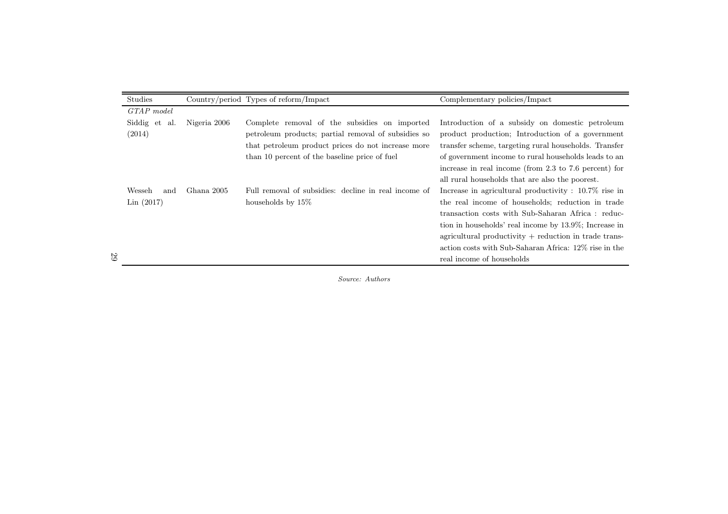| Studies       |                                                    | Country/period Types of reform/Impact                | Complementary policies/Impact                              |
|---------------|----------------------------------------------------|------------------------------------------------------|------------------------------------------------------------|
| GTAP model    |                                                    |                                                      |                                                            |
| Siddig et al. | Nigeria 2006                                       | Complete removal of the subsidies on imported        | Introduction of a subsidy on domestic petroleum            |
| (2014)        |                                                    | petroleum products; partial removal of subsidies so  | product production; Introduction of a government           |
|               | that petroleum product prices do not increase more |                                                      | transfer scheme, targeting rural households. Transfer      |
|               |                                                    | than 10 percent of the baseline price of fuel        | of government income to rural households leads to an       |
|               |                                                    |                                                      | increase in real income (from 2.3 to 7.6 percent) for      |
|               |                                                    |                                                      | all rural households that are also the poorest.            |
| Wesseh<br>and | Ghana 2005                                         | Full removal of subsidies: decline in real income of | Increase in agricultural productivity : 10.7% rise in      |
| Lin(2017)     |                                                    | households by $15\%$                                 | the real income of households; reduction in trade          |
|               |                                                    |                                                      | transaction costs with Sub-Saharan Africa: reduc-          |
|               |                                                    |                                                      | tion in households' real income by 13.9%; Increase in      |
|               |                                                    |                                                      | $a$ gricultural productivity $+$ reduction in trade trans- |
|               |                                                    |                                                      | action costs with Sub-Saharan Africa: 12\% rise in the     |
|               |                                                    |                                                      | real income of households                                  |

Source: Authors

29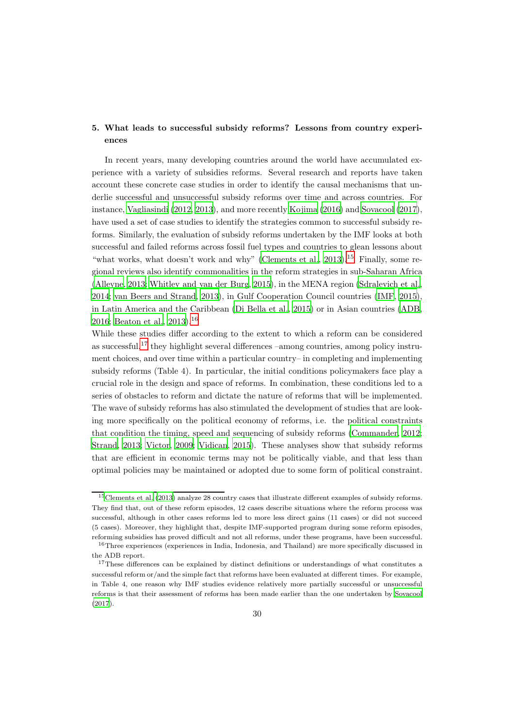# 5. What leads to successful subsidy reforms? Lessons from country experiences

In recent years, many developing countries around the world have accumulated experience with a variety of subsidies reforms. Several research and reports have taken account these concrete case studies in order to identify the causal mechanisms that underlie successful and unsuccessful subsidy reforms over time and across countries. For instance, [Vagliasindi \(2012](#page-46-18), [2013\)](#page-46-19), and more recently [Kojima \(2016\)](#page-45-8) and [Sovacool \(2017\)](#page-46-3), have used a set of case studies to identify the strategies common to successful subsidy reforms. Similarly, the evaluation of subsidy reforms undertaken by the IMF looks at both successful and failed reforms across fossil fuel types and countries to glean lessons about "what works, what doesn't work and why" (Clements et al.,  $2013$ ).<sup>[15](#page-30-0)</sup> Finally, some regional reviews also identify commonalities in the reform strategies in sub-Saharan Africa [\(Alleyne, 2013;](#page-44-20) [Whitley and van der Burg, 2015](#page-47-1)), in the MENA region [\(Sdralevich et al.](#page-46-9), [2014](#page-46-9); [van Beers and Strand, 2013\)](#page-46-20), in Gulf Cooperation Council countries [\(IMF](#page-45-17), [2015\)](#page-45-17), in Latin America and the Caribbean [\(Di Bella et al.](#page-45-3), [2015\)](#page-45-3) or in Asian countries [\(ADB](#page-44-4), [2016](#page-44-4); [Beaton et al., 2013\)](#page-44-3).[16](#page-30-1)

While these studies differ according to the extent to which a reform can be considered as successful,  $17$  they highlight several differences –among countries, among policy instrument choices, and over time within a particular country– in completing and implementing subsidy reforms (Table 4). In particular, the initial conditions policymakers face play a crucial role in the design and space of reforms. In combination, these conditions led to a series of obstacles to reform and dictate the nature of reforms that will be implemented. The wave of subsidy reforms has also stimulated the development of studies that are looking more specifically on the political economy of reforms, i.e. the political constraints that condition the timing, speed and sequencing of subsidy reforms [\(Commander](#page-44-0), [2012](#page-44-0); [Strand, 2013;](#page-46-21) [Victor, 2009](#page-46-22); [Vidican](#page-46-1), [2015](#page-46-1)). These analyses show that subsidy reforms that are efficient in economic terms may not be politically viable, and that less than optimal policies may be maintained or adopted due to some form of political constraint.

<span id="page-30-0"></span><sup>15</sup>[Clements et al. \(2013\)](#page-44-6) analyze 28 country cases that illustrate different examples of subsidy reforms. They find that, out of these reform episodes, 12 cases describe situations where the reform process was successful, although in other cases reforms led to more less direct gains (11 cases) or did not succeed (5 cases). Moreover, they highlight that, despite IMF-supported program during some reform episodes, reforming subsidies has proved difficult and not all reforms, under these programs, have been successful.

<span id="page-30-1"></span><sup>&</sup>lt;sup>16</sup>Three experiences (experiences in India, Indonesia, and Thailand) are more specifically discussed in the ADB report.

<span id="page-30-2"></span><sup>&</sup>lt;sup>17</sup>These differences can be explained by distinct definitions or understandings of what constitutes a successful reform or/and the simple fact that reforms have been evaluated at different times. For example, in Table 4, one reason why IMF studies evidence relatively more partially successful or unsuccessful reforms is that their assessment of reforms has been made earlier than the one undertaken by [Sovacool](#page-46-3) [\(2017](#page-46-3)).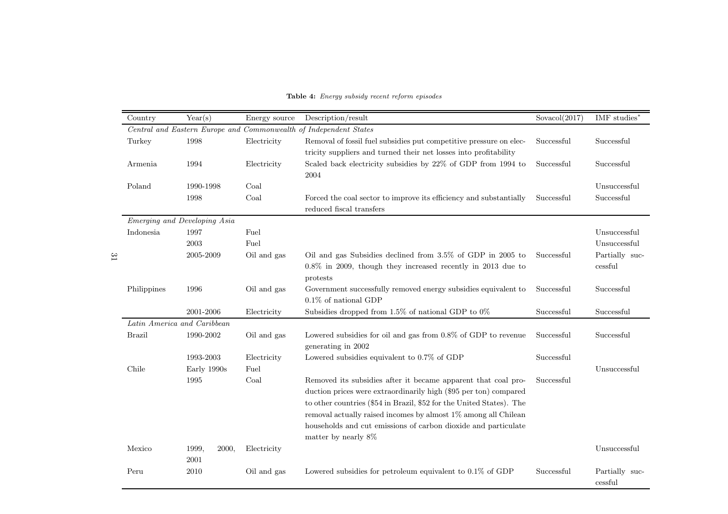| <b>Table 4:</b> Energy subsidy recent reform episodes |  |  |  |  |  |
|-------------------------------------------------------|--|--|--|--|--|
|-------------------------------------------------------|--|--|--|--|--|

| Country       | Year(s)                             | Energy source | Description/result                                                                                                                                                                                                                                                                                                                                                   | Sovacol $(2017)$ | IMF studies*              |
|---------------|-------------------------------------|---------------|----------------------------------------------------------------------------------------------------------------------------------------------------------------------------------------------------------------------------------------------------------------------------------------------------------------------------------------------------------------------|------------------|---------------------------|
|               |                                     |               | Central and Eastern Europe and Commonwealth of Independent States                                                                                                                                                                                                                                                                                                    |                  |                           |
| Turkey        | 1998<br>Electricity                 |               | Removal of fossil fuel subsidies put competitive pressure on elec-<br>tricity suppliers and turned their net losses into profitability                                                                                                                                                                                                                               | Successful       | Successful                |
| Armenia       | 1994<br>Electricity                 |               | Scaled back electricity subsidies by 22% of GDP from 1994 to<br>2004                                                                                                                                                                                                                                                                                                 | Successful       | Successful                |
| Poland        | 1990-1998                           | Coal          |                                                                                                                                                                                                                                                                                                                                                                      |                  | Unsuccessful              |
|               | 1998                                | Coal          | Forced the coal sector to improve its efficiency and substantially<br>reduced fiscal transfers                                                                                                                                                                                                                                                                       | Successful       | Successful                |
|               | <i>Emerging and Developing Asia</i> |               |                                                                                                                                                                                                                                                                                                                                                                      |                  |                           |
| Indonesia     | 1997                                | Fuel          |                                                                                                                                                                                                                                                                                                                                                                      |                  | Unsuccessful              |
|               | 2003                                | Fuel          |                                                                                                                                                                                                                                                                                                                                                                      |                  | Unsuccessful              |
|               | 2005-2009                           | Oil and gas   | Oil and gas Subsidies declined from 3.5% of GDP in 2005 to<br>$0.8\%$ in 2009, though they increased recently in 2013 due to<br>protests                                                                                                                                                                                                                             | Successful       | Partially suc-<br>cessful |
| Philippines   | 1996                                | Oil and gas   | Government successfully removed energy subsidies equivalent to<br>$0.1\%$ of national GDP                                                                                                                                                                                                                                                                            | Successful       | Successful                |
|               | 2001-2006                           | Electricity   | Subsidies dropped from 1.5% of national GDP to $0\%$                                                                                                                                                                                                                                                                                                                 | Successful       | Successful                |
|               | Latin America and Caribbean         |               |                                                                                                                                                                                                                                                                                                                                                                      |                  |                           |
| <b>Brazil</b> | 1990-2002                           | Oil and gas   | Lowered subsidies for oil and gas from $0.8\%$ of GDP to revenue<br>generating in 2002                                                                                                                                                                                                                                                                               | Successful       | Successful                |
|               | 1993-2003                           | Electricity   | Lowered subsidies equivalent to 0.7% of GDP                                                                                                                                                                                                                                                                                                                          | Successful       |                           |
| Chile         | Early 1990s                         | Fuel          |                                                                                                                                                                                                                                                                                                                                                                      |                  | Unsuccessful              |
|               | 1995                                | Coal          | Removed its subsidies after it became apparent that coal pro-<br>duction prices were extraordinarily high (\$95 per ton) compared<br>to other countries (\$54 in Brazil, \$52 for the United States). The<br>removal actually raised incomes by almost 1% among all Chilean<br>households and cut emissions of carbon dioxide and particulate<br>matter by nearly 8% | Successful       |                           |
| Mexico        | 1999,<br>2000,<br>$\,2001\,$        | Electricity   |                                                                                                                                                                                                                                                                                                                                                                      |                  | Unsuccessful              |
| Peru          | 2010                                | Oil and gas   | Lowered subsidies for petroleum equivalent to $0.1\%$ of GDP                                                                                                                                                                                                                                                                                                         | Successful       | Partially suc-<br>cessful |

31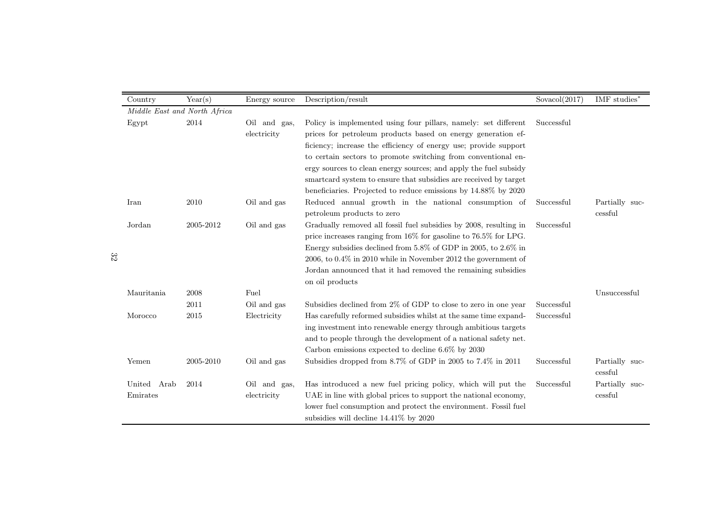|    | Country                      | Year(s)   | Energy source               | Description/result                                                                                                                                                                                                                                                                                                                                                                                                                                                             | Sovacol(2017) | IMF studies <sup>*</sup>  |
|----|------------------------------|-----------|-----------------------------|--------------------------------------------------------------------------------------------------------------------------------------------------------------------------------------------------------------------------------------------------------------------------------------------------------------------------------------------------------------------------------------------------------------------------------------------------------------------------------|---------------|---------------------------|
|    | Middle East and North Africa |           |                             |                                                                                                                                                                                                                                                                                                                                                                                                                                                                                |               |                           |
|    | Egypt                        | 2014      | Oil and gas,<br>electricity | Policy is implemented using four pillars, namely: set different<br>prices for petroleum products based on energy generation ef-<br>ficiency; increase the efficiency of energy use; provide support<br>to certain sectors to promote switching from conventional en-<br>ergy sources to clean energy sources; and apply the fuel subsidy<br>smartcard system to ensure that subsidies are received by target<br>beneficiaries. Projected to reduce emissions by 14.88% by 2020 | Successful    |                           |
|    | Iran                         | 2010      | Oil and gas                 | Reduced annual growth in the national consumption of<br>petroleum products to zero                                                                                                                                                                                                                                                                                                                                                                                             | Successful    | Partially suc-<br>cessful |
| 32 | Jordan                       | 2005-2012 | Oil and gas                 | Gradually removed all fossil fuel subsidies by 2008, resulting in<br>price increases ranging from $16\%$ for gasoline to $76.5\%$ for LPG.<br>Energy subsidies declined from 5.8% of GDP in 2005, to 2.6% in<br>$2006$ , to $0.4\%$ in $2010$ while in November 2012 the government of<br>Jordan announced that it had removed the remaining subsidies<br>on oil products                                                                                                      | Successful    |                           |
|    | Mauritania                   | 2008      | Fuel                        |                                                                                                                                                                                                                                                                                                                                                                                                                                                                                |               | Unsuccessful              |
|    |                              | 2011      | Oil and gas                 | Subsidies declined from $2\%$ of GDP to close to zero in one year                                                                                                                                                                                                                                                                                                                                                                                                              | Successful    |                           |
|    | Morocco                      | 2015      | Electricity                 | Has carefully reformed subsidies whilst at the same time expand-<br>ing investment into renewable energy through ambitious targets<br>and to people through the development of a national safety net.<br>Carbon emissions expected to decline $6.6\%$ by 2030                                                                                                                                                                                                                  | Successful    |                           |
|    | Yemen                        | 2005-2010 | Oil and gas                 | Subsidies dropped from 8.7% of GDP in 2005 to 7.4% in 2011                                                                                                                                                                                                                                                                                                                                                                                                                     | Successful    | Partially suc-<br>cessful |
|    | United Arab<br>Emirates      | 2014      | Oil and gas,<br>electricity | Has introduced a new fuel pricing policy, which will put the<br>UAE in line with global prices to support the national economy,<br>lower fuel consumption and protect the environment. Fossil fuel<br>subsidies will decline 14.41% by 2020                                                                                                                                                                                                                                    | Successful    | Partially suc-<br>cessful |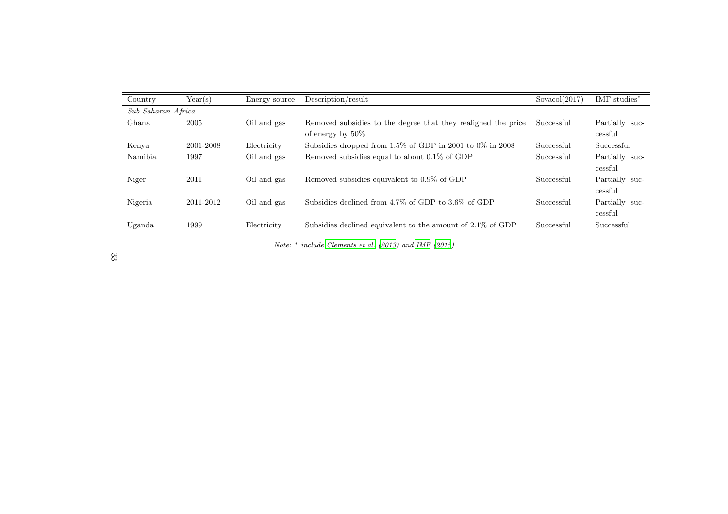| Country            | Year(s)   | Energy source | Description/result                                                                   | Sovacol(2017) | IMF studies <sup>*</sup>  |  |
|--------------------|-----------|---------------|--------------------------------------------------------------------------------------|---------------|---------------------------|--|
| Sub-Saharan Africa |           |               |                                                                                      |               |                           |  |
| Ghana              | 2005      | Oil and gas   | Removed subsidies to the degree that they realigned the price<br>of energy by $50\%$ | Successful    | Partially suc-<br>cessful |  |
| Kenya              | 2001-2008 | Electricity   | Subsidies dropped from $1.5\%$ of GDP in 2001 to 0% in 2008                          | Successful    | Successful                |  |
| Namibia.           | 1997      | Oil and gas   | Removed subsidies equal to about $0.1\%$ of GDP                                      | Successful    | Partially suc-<br>cessful |  |
| Niger              | 2011      | Oil and gas   | Removed subsidies equivalent to 0.9% of GDP                                          | Successful    | Partially suc-<br>cessful |  |
| Nigeria            | 2011-2012 | Oil and gas   | Subsidies declined from 4.7% of GDP to 3.6% of GDP                                   | Successful    | Partially suc-<br>cessful |  |
| Uganda             | 1999      | Electricity   | Subsidies declined equivalent to the amount of 2.1% of GDP                           | Successful    | Successful                |  |

Note:∗ include [Clements](#page-44-21) et al. [\(2013](#page-44-21)) and [IMF](#page-45-18) [\(2015\)](#page-45-18)

33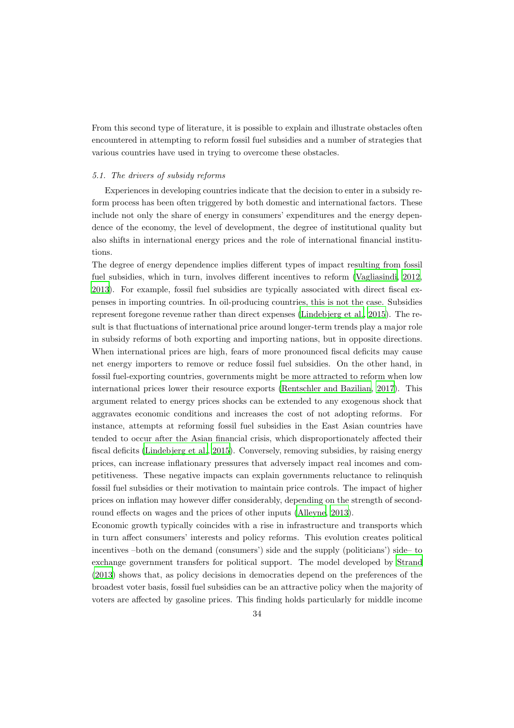From this second type of literature, it is possible to explain and illustrate obstacles often encountered in attempting to reform fossil fuel subsidies and a number of strategies that various countries have used in trying to overcome these obstacles.

#### 5.1. The drivers of subsidy reforms

Experiences in developing countries indicate that the decision to enter in a subsidy reform process has been often triggered by both domestic and international factors. These include not only the share of energy in consumers' expenditures and the energy dependence of the economy, the level of development, the degree of institutional quality but also shifts in international energy prices and the role of international financial institutions.

The degree of energy dependence implies different types of impact resulting from fossil fuel subsidies, which in turn, involves different incentives to reform [\(Vagliasindi, 2012](#page-46-18), [2013](#page-46-19)). For example, fossil fuel subsidies are typically associated with direct fiscal expenses in importing countries. In oil-producing countries, this is not the case. Subsidies represent foregone revenue rather than direct expenses [\(Lindebjerg et al., 2015\)](#page-45-19). The result is that fluctuations of international price around longer-term trends play a major role in subsidy reforms of both exporting and importing nations, but in opposite directions. When international prices are high, fears of more pronounced fiscal deficits may cause net energy importers to remove or reduce fossil fuel subsidies. On the other hand, in fossil fuel-exporting countries, governments might be more attracted to reform when low international prices lower their resource exports [\(Rentschler and Bazilian, 2017](#page-46-8)). This argument related to energy prices shocks can be extended to any exogenous shock that aggravates economic conditions and increases the cost of not adopting reforms. For instance, attempts at reforming fossil fuel subsidies in the East Asian countries have tended to occur after the Asian financial crisis, which disproportionately affected their fiscal deficits [\(Lindebjerg et al.](#page-45-19), [2015\)](#page-45-19). Conversely, removing subsidies, by raising energy prices, can increase inflationary pressures that adversely impact real incomes and competitiveness. These negative impacts can explain governments reluctance to relinquish fossil fuel subsidies or their motivation to maintain price controls. The impact of higher prices on inflation may however differ considerably, depending on the strength of secondround effects on wages and the prices of other inputs [\(Alleyne](#page-44-20), [2013](#page-44-20)).

Economic growth typically coincides with a rise in infrastructure and transports which in turn affect consumers' interests and policy reforms. This evolution creates political incentives –both on the demand (consumers') side and the supply (politicians') side– to exchange government transfers for political support. The model developed by [Strand](#page-46-21) [\(2013](#page-46-21)) shows that, as policy decisions in democraties depend on the preferences of the broadest voter basis, fossil fuel subsidies can be an attractive policy when the majority of voters are affected by gasoline prices. This finding holds particularly for middle income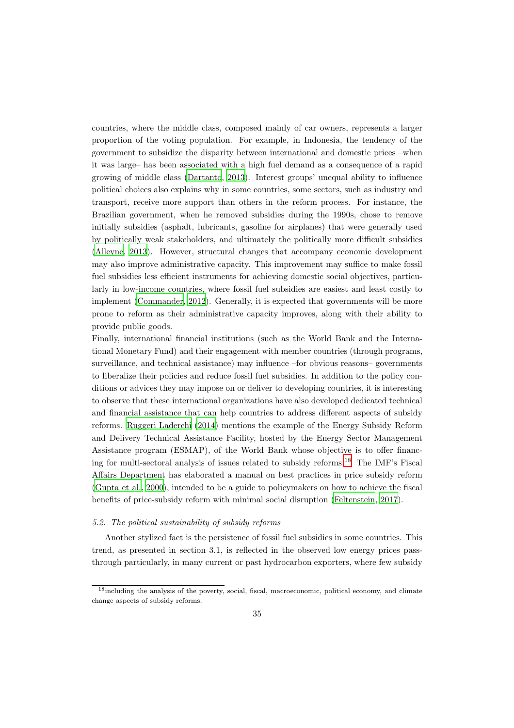countries, where the middle class, composed mainly of car owners, represents a larger proportion of the voting population. For example, in Indonesia, the tendency of the government to subsidize the disparity between international and domestic prices –when it was large– has been associated with a high fuel demand as a consequence of a rapid growing of middle class [\(Dartanto, 2013](#page-45-10)). Interest groups' unequal ability to influence political choices also explains why in some countries, some sectors, such as industry and transport, receive more support than others in the reform process. For instance, the Brazilian government, when he removed subsidies during the 1990s, chose to remove initially subsidies (asphalt, lubricants, gasoline for airplanes) that were generally used by politically weak stakeholders, and ultimately the politically more difficult subsidies [\(Alleyne, 2013](#page-44-20)). However, structural changes that accompany economic development may also improve administrative capacity. This improvement may suffice to make fossil fuel subsidies less efficient instruments for achieving domestic social objectives, particularly in low-income countries, where fossil fuel subsidies are easiest and least costly to implement [\(Commander](#page-44-0), [2012\)](#page-44-0). Generally, it is expected that governments will be more prone to reform as their administrative capacity improves, along with their ability to provide public goods.

Finally, international financial institutions (such as the World Bank and the International Monetary Fund) and their engagement with member countries (through programs, surveillance, and technical assistance) may influence –for obvious reasons– governments to liberalize their policies and reduce fossil fuel subsidies. In addition to the policy conditions or advices they may impose on or deliver to developing countries, it is interesting to observe that these international organizations have also developed dedicated technical and financial assistance that can help countries to address different aspects of subsidy reforms. [Ruggeri Laderchi \(2014\)](#page-46-23) mentions the example of the Energy Subsidy Reform and Delivery Technical Assistance Facility, hosted by the Energy Sector Management Assistance program (ESMAP), of the World Bank whose objective is to offer financing for multi-sectoral analysis of issues related to subsidy reforms. [18](#page-35-0) The IMF's Fiscal Affairs Department has elaborated a manual on best practices in price subsidy reform [\(Gupta et al.](#page-45-20), [2000](#page-45-20)), intended to be a guide to policymakers on how to achieve the fiscal benefits of price-subsidy reform with minimal social disruption [\(Feltenstein](#page-45-21), [2017\)](#page-45-21).

#### 5.2. The political sustainability of subsidy reforms

Another stylized fact is the persistence of fossil fuel subsidies in some countries. This trend, as presented in section 3.1, is reflected in the observed low energy prices passthrough particularly, in many current or past hydrocarbon exporters, where few subsidy

<span id="page-35-0"></span><sup>&</sup>lt;sup>18</sup>including the analysis of the poverty, social, fiscal, macroeconomic, political economy, and climate change aspects of subsidy reforms.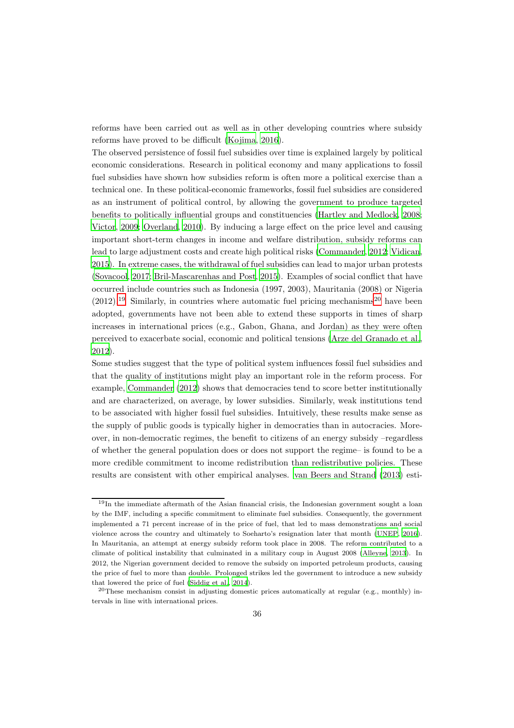reforms have been carried out as well as in other developing countries where subsidy reforms have proved to be difficult [\(Kojima](#page-45-8), [2016](#page-45-8)).

The observed persistence of fossil fuel subsidies over time is explained largely by political economic considerations. Research in political economy and many applications to fossil fuel subsidies have shown how subsidies reform is often more a political exercise than a technical one. In these political-economic frameworks, fossil fuel subsidies are considered as an instrument of political control, by allowing the government to produce targeted benefits to politically influential groups and constituencies (Hartley [and Medlock](#page-45-22), [2008](#page-45-22); [Victor, 2009;](#page-46-22) [Overland, 2010](#page-46-24)). By inducing a large effect on the price level and causing important short-term changes in income and welfare distribution, subsidy reforms can lead to large adjustment costs and create high political risks [\(Commander](#page-44-0), [2012;](#page-44-0) [Vidican](#page-46-1), [2015](#page-46-1)). In extreme cases, the withdrawal of fuel subsidies can lead to major urban protests [\(Sovacool, 2017;](#page-46-3) [Bril-Mascarenhas and Post, 2015](#page-44-1)). Examples of social conflict that have occurred include countries such as Indonesia (1997, 2003), Mauritania (2008) or Nigeria  $(2012)$  $(2012)$  $(2012)$ <sup>[19](#page-36-0)</sup> Similarly, in countries where automatic fuel pricing mechanisms<sup>20</sup> have been adopted, governments have not been able to extend these supports in times of sharp increases in international prices (e.g., Gabon, Ghana, and Jordan) as they were often perceived to exacerbate social, economic and political tensions [\(Arze del Granado et al.](#page-44-10), [2012](#page-44-10)).

Some studies suggest that the type of political system influences fossil fuel subsidies and that the quality of institutions might play an important role in the reform process. For example, [Commander \(2012\)](#page-44-0) shows that democracies tend to score better institutionally and are characterized, on average, by lower subsidies. Similarly, weak institutions tend to be associated with higher fossil fuel subsidies. Intuitively, these results make sense as the supply of public goods is typically higher in democraties than in autocracies. Moreover, in non-democratic regimes, the benefit to citizens of an energy subsidy –regardless of whether the general population does or does not support the regime– is found to be a more credible commitment to income redistribution than redistributive policies. These results are consistent with other empirical analyses. [van Beers and Strand \(2013\)](#page-46-20) esti-

<span id="page-36-0"></span><sup>&</sup>lt;sup>19</sup>In the immediate aftermath of the Asian financial crisis, the Indonesian government sought a loan by the IMF, including a specific commitment to eliminate fuel subsidies. Consequently, the government implemented a 71 percent increase of in the price of fuel, that led to mass demonstrations and social violence across the country and ultimately to Soeharto's resignation later that month [\(UNEP, 2016](#page-46-13)). In Mauritania, an attempt at energy subsidy reform took place in 2008. The reform contributed to a climate of political instability that culminated in a military coup in August 2008 [\(Alleyne](#page-44-20), [2013](#page-44-20)). In 2012, the Nigerian government decided to remove the subsidy on imported petroleum products, causing the price of fuel to more than double. Prolonged strikes led the government to introduce a new subsidy that lowered the price of fuel [\(Siddig et al.](#page-46-17), [2014](#page-46-17)).

<span id="page-36-1"></span><sup>&</sup>lt;sup>20</sup>These mechanism consist in adjusting domestic prices automatically at regular (e.g., monthly) intervals in line with international prices.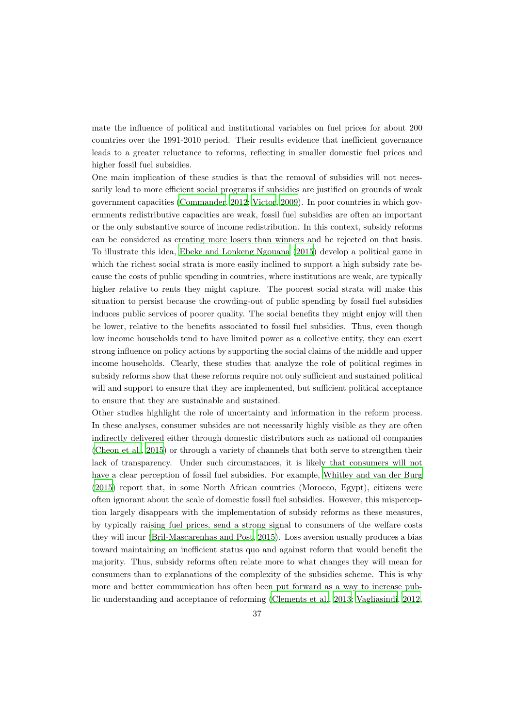mate the influence of political and institutional variables on fuel prices for about 200 countries over the 1991-2010 period. Their results evidence that inefficient governance leads to a greater reluctance to reforms, reflecting in smaller domestic fuel prices and higher fossil fuel subsidies.

One main implication of these studies is that the removal of subsidies will not necessarily lead to more efficient social programs if subsidies are justified on grounds of weak government capacities [\(Commander](#page-44-0), [2012;](#page-44-0) [Victor, 2009\)](#page-46-22). In poor countries in which governments redistributive capacities are weak, fossil fuel subsidies are often an important or the only substantive source of income redistribution. In this context, subsidy reforms can be considered as creating more losers than winners and be rejected on that basis. To illustrate this idea, [Ebeke and Lonkeng Ngouana \(2015\)](#page-45-16) develop a political game in which the richest social strata is more easily inclined to support a high subsidy rate because the costs of public spending in countries, where institutions are weak, are typically higher relative to rents they might capture. The poorest social strata will make this situation to persist because the crowding-out of public spending by fossil fuel subsidies induces public services of poorer quality. The social benefits they might enjoy will then be lower, relative to the benefits associated to fossil fuel subsidies. Thus, even though low income households tend to have limited power as a collective entity, they can exert strong influence on policy actions by supporting the social claims of the middle and upper income households. Clearly, these studies that analyze the role of political regimes in subsidy reforms show that these reforms require not only sufficient and sustained political will and support to ensure that they are implemented, but sufficient political acceptance to ensure that they are sustainable and sustained.

Other studies highlight the role of uncertainty and information in the reform process. In these analyses, consumer subsides are not necessarily highly visible as they are often indirectly delivered either through domestic distributors such as national oil companies [\(Cheon et al.](#page-44-5), [2015](#page-44-5)) or through a variety of channels that both serve to strengthen their lack of transparency. Under such circumstances, it is likely that consumers will not have a clear perception of fossil fuel subsidies. For example, [Whitley and van der Burg](#page-47-1) [\(2015](#page-47-1)) report that, in some North African countries (Morocco, Egypt), citizens were often ignorant about the scale of domestic fossil fuel subsidies. However, this misperception largely disappears with the implementation of subsidy reforms as these measures, by typically raising fuel prices, send a strong signal to consumers of the welfare costs they will incur [\(Bril-Mascarenhas and Post, 2015\)](#page-44-1). Loss aversion usually produces a bias toward maintaining an inefficient status quo and against reform that would benefit the majority. Thus, subsidy reforms often relate more to what changes they will mean for consumers than to explanations of the complexity of the subsidies scheme. This is why more and better communication has often been put forward as a way to increase public understanding and acceptance of reforming [\(Clements et al., 2013;](#page-44-6) [Vagliasindi](#page-46-18), [2012](#page-46-18),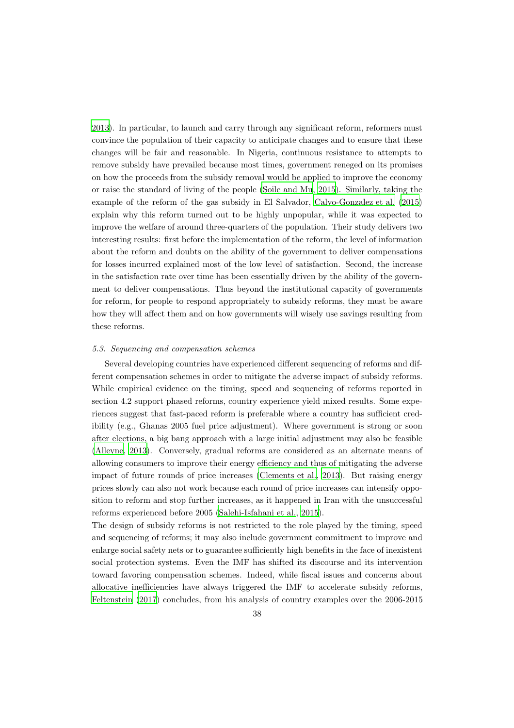[2013](#page-46-19)). In particular, to launch and carry through any significant reform, reformers must convince the population of their capacity to anticipate changes and to ensure that these changes will be fair and reasonable. In Nigeria, continuous resistance to attempts to remove subsidy have prevailed because most times, government reneged on its promises on how the proceeds from the subsidy removal would be applied to improve the economy or raise the standard of living of the people [\(Soile and Mu](#page-46-11), [2015\)](#page-46-11). Similarly, taking the example of the reform of the gas subsidy in El Salvador, [Calvo-Gonzalez et al. \(2015](#page-44-22)) explain why this reform turned out to be highly unpopular, while it was expected to improve the welfare of around three-quarters of the population. Their study delivers two interesting results: first before the implementation of the reform, the level of information about the reform and doubts on the ability of the government to deliver compensations for losses incurred explained most of the low level of satisfaction. Second, the increase in the satisfaction rate over time has been essentially driven by the ability of the government to deliver compensations. Thus beyond the institutional capacity of governments for reform, for people to respond appropriately to subsidy reforms, they must be aware how they will affect them and on how governments will wisely use savings resulting from these reforms.

#### 5.3. Sequencing and compensation schemes

Several developing countries have experienced different sequencing of reforms and different compensation schemes in order to mitigate the adverse impact of subsidy reforms. While empirical evidence on the timing, speed and sequencing of reforms reported in section 4.2 support phased reforms, country experience yield mixed results. Some experiences suggest that fast-paced reform is preferable where a country has sufficient credibility (e.g., Ghanas 2005 fuel price adjustment). Where government is strong or soon after elections, a big bang approach with a large initial adjustment may also be feasible [\(Alleyne, 2013\)](#page-44-20). Conversely, gradual reforms are considered as an alternate means of allowing consumers to improve their energy efficiency and thus of mitigating the adverse impact of future rounds of price increases [\(Clements et al.](#page-44-6), [2013\)](#page-44-6). But raising energy prices slowly can also not work because each round of price increases can intensify opposition to reform and stop further increases, as it happened in Iran with the unsuccessful reforms experienced before 2005 [\(Salehi-Isfahani et al., 2015\)](#page-46-10).

The design of subsidy reforms is not restricted to the role played by the timing, speed and sequencing of reforms; it may also include government commitment to improve and enlarge social safety nets or to guarantee sufficiently high benefits in the face of inexistent social protection systems. Even the IMF has shifted its discourse and its intervention toward favoring compensation schemes. Indeed, while fiscal issues and concerns about allocative inefficiencies have always triggered the IMF to accelerate subsidy reforms, [Feltenstein \(2017](#page-45-21)) concludes, from his analysis of country examples over the 2006-2015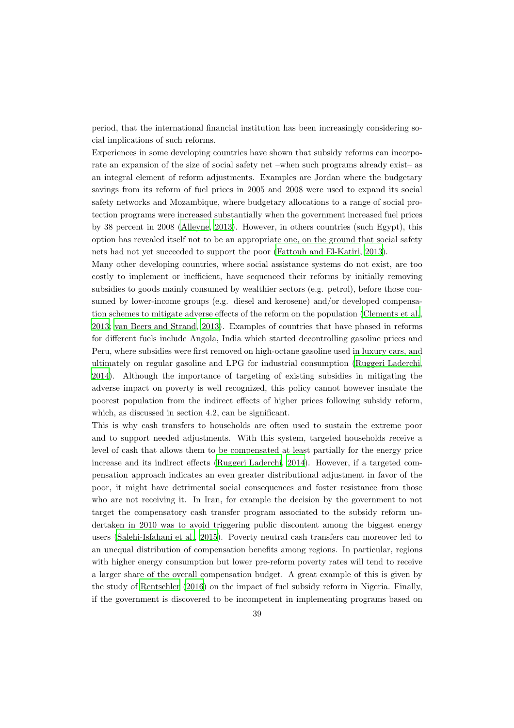period, that the international financial institution has been increasingly considering social implications of such reforms.

Experiences in some developing countries have shown that subsidy reforms can incorporate an expansion of the size of social safety net –when such programs already exist– as an integral element of reform adjustments. Examples are Jordan where the budgetary savings from its reform of fuel prices in 2005 and 2008 were used to expand its social safety networks and Mozambique, where budgetary allocations to a range of social protection programs were increased substantially when the government increased fuel prices by 38 percent in 2008 [\(Alleyne](#page-44-20), [2013\)](#page-44-20). However, in others countries (such Egypt), this option has revealed itself not to be an appropriate one, on the ground that social safety nets had not yet succeeded to support the poor [\(Fattouh and El-Katiri, 2013\)](#page-45-2).

Many other developing countries, where social assistance systems do not exist, are too costly to implement or inefficient, have sequenced their reforms by initially removing subsidies to goods mainly consumed by wealthier sectors (e.g. petrol), before those consumed by lower-income groups (e.g. diesel and kerosene) and/or developed compensation schemes to mitigate adverse effects of the reform on the population [\(Clements et al.](#page-44-6), [2013](#page-44-6); [van Beers and Strand](#page-46-20), [2013\)](#page-46-20). Examples of countries that have phased in reforms for different fuels include Angola, India which started decontrolling gasoline prices and Peru, where subsidies were first removed on high-octane gasoline used in luxury cars, and ultimately on regular gasoline and LPG for industrial consumption [\(Ruggeri Laderchi](#page-46-23), [2014](#page-46-23)). Although the importance of targeting of existing subsidies in mitigating the adverse impact on poverty is well recognized, this policy cannot however insulate the poorest population from the indirect effects of higher prices following subsidy reform, which, as discussed in section 4.2, can be significant.

This is why cash transfers to households are often used to sustain the extreme poor and to support needed adjustments. With this system, targeted households receive a level of cash that allows them to be compensated at least partially for the energy price increase and its indirect effects [\(Ruggeri Laderchi, 2014\)](#page-46-23). However, if a targeted compensation approach indicates an even greater distributional adjustment in favor of the poor, it might have detrimental social consequences and foster resistance from those who are not receiving it. In Iran, for example the decision by the government to not target the compensatory cash transfer program associated to the subsidy reform undertaken in 2010 was to avoid triggering public discontent among the biggest energy users [\(Salehi-Isfahani et al., 2015\)](#page-46-10). Poverty neutral cash transfers can moreover led to an unequal distribution of compensation benefits among regions. In particular, regions with higher energy consumption but lower pre-reform poverty rates will tend to receive a larger share of the overall compensation budget. A great example of this is given by the study of [Rentschler \(2016\)](#page-46-12) on the impact of fuel subsidy reform in Nigeria. Finally, if the government is discovered to be incompetent in implementing programs based on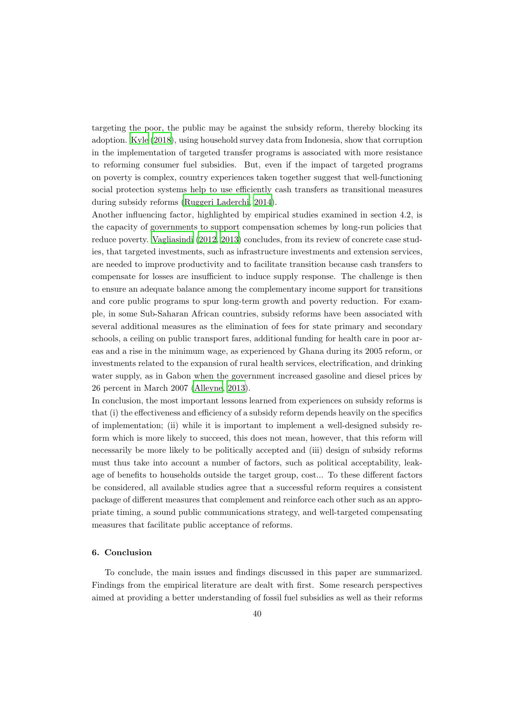targeting the poor, the public may be against the subsidy reform, thereby blocking its adoption. [Kyle \(2018\)](#page-45-23), using household survey data from Indonesia, show that corruption in the implementation of targeted transfer programs is associated with more resistance to reforming consumer fuel subsidies. But, even if the impact of targeted programs on poverty is complex, country experiences taken together suggest that well-functioning social protection systems help to use efficiently cash transfers as transitional measures during subsidy reforms [\(Ruggeri Laderchi](#page-46-23), [2014](#page-46-23)).

Another influencing factor, highlighted by empirical studies examined in section 4.2, is the capacity of governments to support compensation schemes by long-run policies that reduce poverty. [Vagliasindi \(2012,](#page-46-18) [2013\)](#page-46-19) concludes, from its review of concrete case studies, that targeted investments, such as infrastructure investments and extension services, are needed to improve productivity and to facilitate transition because cash transfers to compensate for losses are insufficient to induce supply response. The challenge is then to ensure an adequate balance among the complementary income support for transitions and core public programs to spur long-term growth and poverty reduction. For example, in some Sub-Saharan African countries, subsidy reforms have been associated with several additional measures as the elimination of fees for state primary and secondary schools, a ceiling on public transport fares, additional funding for health care in poor areas and a rise in the minimum wage, as experienced by Ghana during its 2005 reform, or investments related to the expansion of rural health services, electrification, and drinking water supply, as in Gabon when the government increased gasoline and diesel prices by 26 percent in March 2007 [\(Alleyne, 2013\)](#page-44-20).

In conclusion, the most important lessons learned from experiences on subsidy reforms is that (i) the effectiveness and efficiency of a subsidy reform depends heavily on the specifics of implementation; (ii) while it is important to implement a well-designed subsidy reform which is more likely to succeed, this does not mean, however, that this reform will necessarily be more likely to be politically accepted and (iii) design of subsidy reforms must thus take into account a number of factors, such as political acceptability, leakage of benefits to households outside the target group, cost... To these different factors be considered, all available studies agree that a successful reform requires a consistent package of different measures that complement and reinforce each other such as an appropriate timing, a sound public communications strategy, and well-targeted compensating measures that facilitate public acceptance of reforms.

#### 6. Conclusion

To conclude, the main issues and findings discussed in this paper are summarized. Findings from the empirical literature are dealt with first. Some research perspectives aimed at providing a better understanding of fossil fuel subsidies as well as their reforms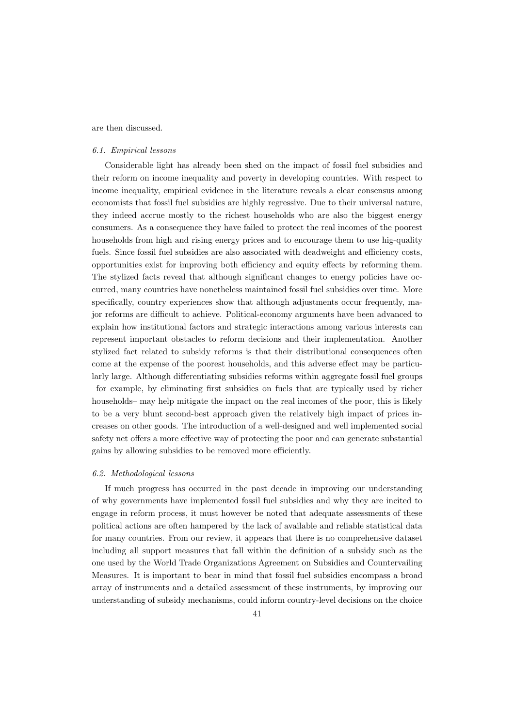are then discussed.

#### 6.1. Empirical lessons

Considerable light has already been shed on the impact of fossil fuel subsidies and their reform on income inequality and poverty in developing countries. With respect to income inequality, empirical evidence in the literature reveals a clear consensus among economists that fossil fuel subsidies are highly regressive. Due to their universal nature, they indeed accrue mostly to the richest households who are also the biggest energy consumers. As a consequence they have failed to protect the real incomes of the poorest households from high and rising energy prices and to encourage them to use hig-quality fuels. Since fossil fuel subsidies are also associated with deadweight and efficiency costs, opportunities exist for improving both efficiency and equity effects by reforming them. The stylized facts reveal that although significant changes to energy policies have occurred, many countries have nonetheless maintained fossil fuel subsidies over time. More specifically, country experiences show that although adjustments occur frequently, major reforms are difficult to achieve. Political-economy arguments have been advanced to explain how institutional factors and strategic interactions among various interests can represent important obstacles to reform decisions and their implementation. Another stylized fact related to subsidy reforms is that their distributional consequences often come at the expense of the poorest households, and this adverse effect may be particularly large. Although differentiating subsidies reforms within aggregate fossil fuel groups –for example, by eliminating first subsidies on fuels that are typically used by richer households– may help mitigate the impact on the real incomes of the poor, this is likely to be a very blunt second-best approach given the relatively high impact of prices increases on other goods. The introduction of a well-designed and well implemented social safety net offers a more effective way of protecting the poor and can generate substantial gains by allowing subsidies to be removed more efficiently.

#### 6.2. Methodological lessons

If much progress has occurred in the past decade in improving our understanding of why governments have implemented fossil fuel subsidies and why they are incited to engage in reform process, it must however be noted that adequate assessments of these political actions are often hampered by the lack of available and reliable statistical data for many countries. From our review, it appears that there is no comprehensive dataset including all support measures that fall within the definition of a subsidy such as the one used by the World Trade Organizations Agreement on Subsidies and Countervailing Measures. It is important to bear in mind that fossil fuel subsidies encompass a broad array of instruments and a detailed assessment of these instruments, by improving our understanding of subsidy mechanisms, could inform country-level decisions on the choice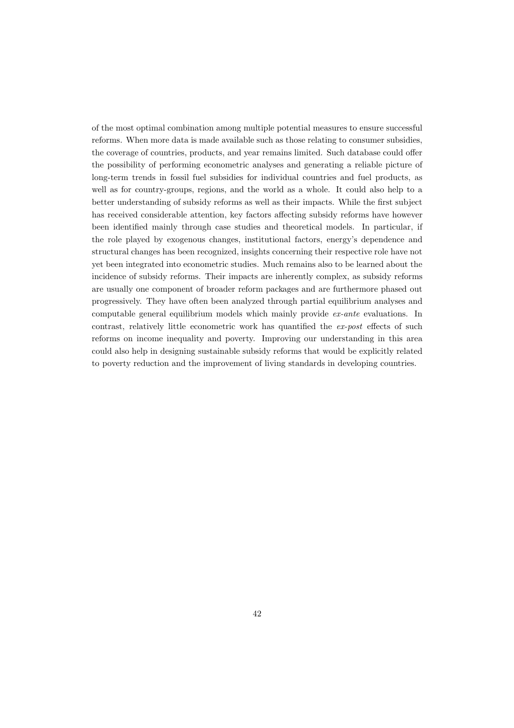of the most optimal combination among multiple potential measures to ensure successful reforms. When more data is made available such as those relating to consumer subsidies, the coverage of countries, products, and year remains limited. Such database could offer the possibility of performing econometric analyses and generating a reliable picture of long-term trends in fossil fuel subsidies for individual countries and fuel products, as well as for country-groups, regions, and the world as a whole. It could also help to a better understanding of subsidy reforms as well as their impacts. While the first subject has received considerable attention, key factors affecting subsidy reforms have however been identified mainly through case studies and theoretical models. In particular, if the role played by exogenous changes, institutional factors, energy's dependence and structural changes has been recognized, insights concerning their respective role have not yet been integrated into econometric studies. Much remains also to be learned about the incidence of subsidy reforms. Their impacts are inherently complex, as subsidy reforms are usually one component of broader reform packages and are furthermore phased out progressively. They have often been analyzed through partial equilibrium analyses and computable general equilibrium models which mainly provide ex-ante evaluations. In contrast, relatively little econometric work has quantified the ex-post effects of such reforms on income inequality and poverty. Improving our understanding in this area could also help in designing sustainable subsidy reforms that would be explicitly related to poverty reduction and the improvement of living standards in developing countries.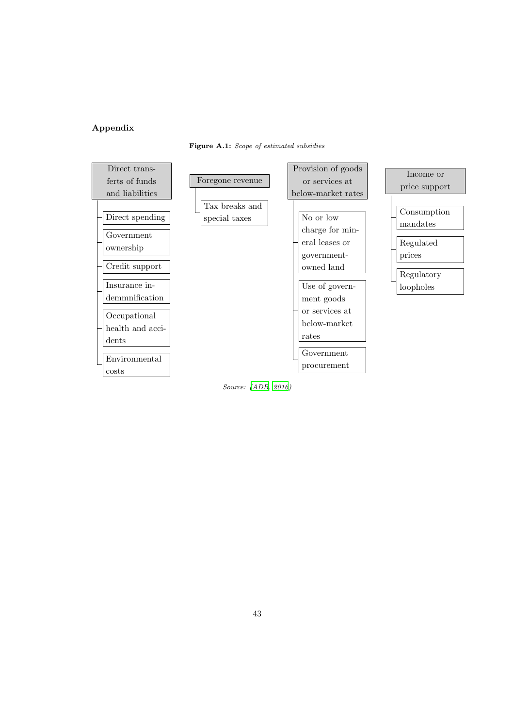# Appendix





Source: [\(ADB, 2016\)](#page-44-4)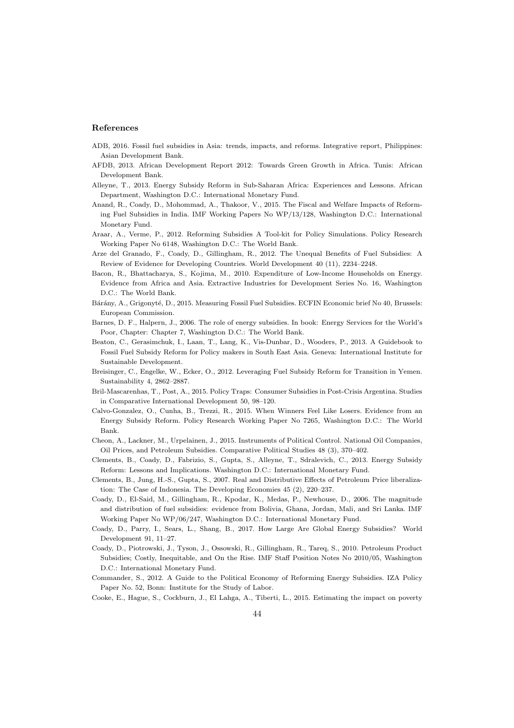#### <span id="page-44-21"></span><span id="page-44-9"></span>References

- <span id="page-44-4"></span>ADB, 2016. Fossil fuel subsidies in Asia: trends, impacts, and reforms. Integrative report, Philippines: Asian Development Bank.
- <span id="page-44-11"></span>AFDB, 2013. African Development Report 2012: Towards Green Growth in Africa. Tunis: African Development Bank.
- <span id="page-44-20"></span>Alleyne, T., 2013. Energy Subsidy Reform in Sub-Saharan Africa: Experiences and Lessons. African Department, Washington D.C.: International Monetary Fund.
- <span id="page-44-17"></span>Anand, R., Coady, D., Mohommad, A., Thakoor, V., 2015. The Fiscal and Welfare Impacts of Reforming Fuel Subsidies in India. IMF Working Papers No WP/13/128, Washington D.C.: International Monetary Fund.
- <span id="page-44-19"></span>Araar, A., Verme, P., 2012. Reforming Subsidies A Tool-kit for Policy Simulations. Policy Research Working Paper No 6148, Washington D.C.: The World Bank.
- <span id="page-44-10"></span>Arze del Granado, F., Coady, D., Gillingham, R., 2012. The Unequal Benefits of Fuel Subsidies: A Review of Evidence for Developing Countries. World Development 40 (11), 2234–2248.
- <span id="page-44-2"></span>Bacon, R., Bhattacharya, S., Kojima, M., 2010. Expenditure of Low-Income Households on Energy. Evidence from Africa and Asia. Extractive Industries for Development Series No. 16, Washington D.C.: The World Bank.
- <span id="page-44-8"></span>Bárány, A., Grigonyté, D., 2015. Measuring Fossil Fuel Subsidies. ECFIN Economic brief No 40, Brussels: European Commission.
- <span id="page-44-15"></span>Barnes, D. F., Halpern, J., 2006. The role of energy subsidies. In book: Energy Services for the World's Poor, Chapter: Chapter 7, Washington D.C.: The World Bank.
- <span id="page-44-3"></span>Beaton, C., Gerasimchuk, I., Laan, T., Lang, K., Vis-Dunbar, D., Wooders, P., 2013. A Guidebook to Fossil Fuel Subsidy Reform for Policy makers in South East Asia. Geneva: International Institute for Sustainable Development.
- <span id="page-44-16"></span>Breisinger, C., Engelke, W., Ecker, O., 2012. Leveraging Fuel Subsidy Reform for Transition in Yemen. Sustainability 4, 2862–2887.
- <span id="page-44-1"></span>Bril-Mascarenhas, T., Post, A., 2015. Policy Traps: Consumer Subsidies in Post-Crisis Argentina. Studies in Comparative International Development 50, 98–120.
- <span id="page-44-22"></span>Calvo-Gonzalez, O., Cunha, B., Trezzi, R., 2015. When Winners Feel Like Losers. Evidence from an Energy Subsidy Reform. Policy Research Working Paper No 7265, Washington D.C.: The World Bank.
- <span id="page-44-5"></span>Cheon, A., Lackner, M., Urpelainen, J., 2015. Instruments of Political Control. National Oil Companies, Oil Prices, and Petroleum Subsidies. Comparative Political Studies 48 (3), 370–402.
- <span id="page-44-6"></span>Clements, B., Coady, D., Fabrizio, S., Gupta, S., Alleyne, T., Sdralevich, C., 2013. Energy Subsidy Reform: Lessons and Implications. Washington D.C.: International Monetary Fund.
- <span id="page-44-18"></span>Clements, B., Jung, H.-S., Gupta, S., 2007. Real and Distributive Effects of Petroleum Price liberalization: The Case of Indonesia. The Developing Economies 45 (2), 220–237.
- <span id="page-44-13"></span>Coady, D., El-Said, M., Gillingham, R., Kpodar, K., Medas, P., Newhouse, D., 2006. The magnitude and distribution of fuel subsidies: evidence from Bolivia, Ghana, Jordan, Mali, and Sri Lanka. IMF Working Paper No WP/06/247, Washington D.C.: International Monetary Fund.
- <span id="page-44-7"></span>Coady, D., Parry, I., Sears, L., Shang, B., 2017. How Large Are Global Energy Subsidies? World Development 91, 11–27.
- <span id="page-44-14"></span>Coady, D., Piotrowski, J., Tyson, J., Ossowski, R., Gillingham, R., Tareq, S., 2010. Petroleum Product Subsidies; Costly, Inequitable, and On the Rise. IMF Staff Position Notes No 2010/05, Washington D.C.: International Monetary Fund.
- <span id="page-44-0"></span>Commander, S., 2012. A Guide to the Political Economy of Reforming Energy Subsidies. IZA Policy Paper No. 52, Bonn: Institute for the Study of Labor.
- <span id="page-44-12"></span>Cooke, E., Hague, S., Cockburn, J., El Lahga, A., Tiberti, L., 2015. Estimating the impact on poverty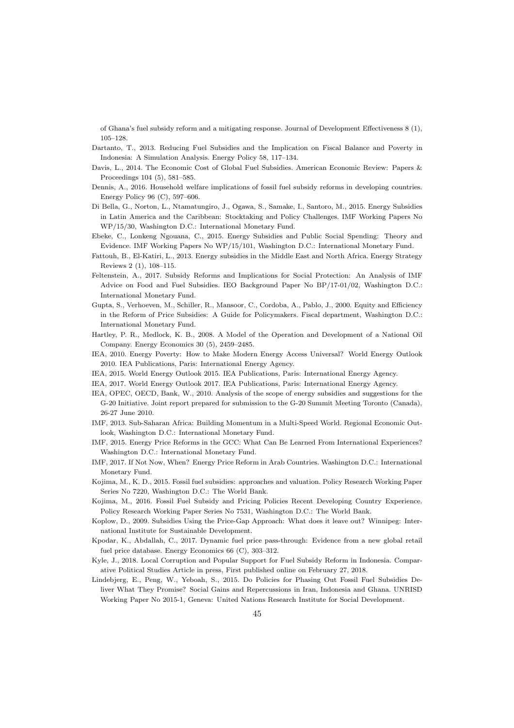<span id="page-45-18"></span><span id="page-45-9"></span>of Ghana's fuel subsidy reform and a mitigating response. Journal of Development Effectiveness 8 (1), 105–128.

- <span id="page-45-10"></span>Dartanto, T., 2013. Reducing Fuel Subsidies and the Implication on Fiscal Balance and Poverty in Indonesia: A Simulation Analysis. Energy Policy 58, 117–134.
- <span id="page-45-13"></span>Davis, L., 2014. The Economic Cost of Global Fuel Subsidies. American Economic Review: Papers & Proceedings 104 (5), 581–585.
- <span id="page-45-12"></span>Dennis, A., 2016. Household welfare implications of fossil fuel subsidy reforms in developing countries. Energy Policy 96 (C), 597–606.
- <span id="page-45-3"></span>Di Bella, G., Norton, L., Ntamatungiro, J., Ogawa, S., Samake, I., Santoro, M., 2015. Energy Subsidies in Latin America and the Caribbean: Stocktaking and Policy Challenges. IMF Working Papers No WP/15/30, Washington D.C.: International Monetary Fund.
- <span id="page-45-16"></span>Ebeke, C., Lonkeng Ngouana, C., 2015. Energy Subsidies and Public Social Spending: Theory and Evidence. IMF Working Papers No WP/15/101, Washington D.C.: International Monetary Fund.
- <span id="page-45-2"></span>Fattouh, B., El-Katiri, L., 2013. Energy subsidies in the Middle East and North Africa. Energy Strategy Reviews 2 (1), 108–115.
- <span id="page-45-21"></span>Feltenstein, A., 2017. Subsidy Reforms and Implications for Social Protection: An Analysis of IMF Advice on Food and Fuel Subsidies. IEO Background Paper No BP/17-01/02, Washington D.C.: International Monetary Fund.
- <span id="page-45-20"></span>Gupta, S., Verhoeven, M., Schiller, R., Mansoor, C., Cordoba, A., Pablo, J., 2000. Equity and Efficiency in the Reform of Price Subsidies: A Guide for Policymakers. Fiscal department, Washington D.C.: International Monetary Fund.
- <span id="page-45-22"></span>Hartley, P. R., Medlock, K. B., 2008. A Model of the Operation and Development of a National Oil Company. Energy Economics 30 (5), 2459–2485.
- <span id="page-45-11"></span>IEA, 2010. Energy Poverty: How to Make Modern Energy Access Universal? World Energy Outlook 2010. IEA Publications, Paris: International Energy Agency.
- <span id="page-45-5"></span>IEA, 2015. World Energy Outlook 2015. IEA Publications, Paris: International Energy Agency.
- <span id="page-45-1"></span>IEA, 2017. World Energy Outlook 2017. IEA Publications, Paris: International Energy Agency.
- <span id="page-45-0"></span>IEA, OPEC, OECD, Bank, W., 2010. Analysis of the scope of energy subsidies and suggestions for the G-20 Initiative. Joint report prepared for submission to the G-20 Summit Meeting Toronto (Canada), 26-27 June 2010.
- <span id="page-45-15"></span>IMF, 2013. Sub-Saharan Africa: Building Momentum in a Multi-Speed World. Regional Economic Outlook, Washington D.C.: International Monetary Fund.
- <span id="page-45-17"></span>IMF, 2015. Energy Price Reforms in the GCC: What Can Be Learned From International Experiences? Washington D.C.: International Monetary Fund.
- <span id="page-45-14"></span>IMF, 2017. If Not Now, When? Energy Price Reform in Arab Countries. Washington D.C.: International Monetary Fund.
- <span id="page-45-6"></span>Kojima, M., K. D., 2015. Fossil fuel subsidies: approaches and valuation. Policy Research Working Paper Series No 7220, Washington D.C.: The World Bank.
- <span id="page-45-8"></span>Kojima, M., 2016. Fossil Fuel Subsidy and Pricing Policies Recent Developing Country Experience. Policy Research Working Paper Series No 7531, Washington D.C.: The World Bank.
- <span id="page-45-4"></span>Koplow, D., 2009. Subsidies Using the Price-Gap Approach: What does it leave out? Winnipeg: International Institute for Sustainable Development.
- <span id="page-45-7"></span>Kpodar, K., Abdallah, C., 2017. Dynamic fuel price pass-through: Evidence from a new global retail fuel price database. Energy Economics 66 (C), 303–312.
- <span id="page-45-23"></span>Kyle, J., 2018. Local Corruption and Popular Support for Fuel Subsidy Reform in Indonesia. Comparative Political Studies Article in press, First published online on February 27, 2018.
- <span id="page-45-19"></span>Lindebjerg, E., Peng, W., Yeboah, S., 2015. Do Policies for Phasing Out Fossil Fuel Subsidies Deliver What They Promise? Social Gains and Repercussions in Iran, Indonesia and Ghana. UNRISD Working Paper No 2015-1, Geneva: United Nations Research Institute for Social Development.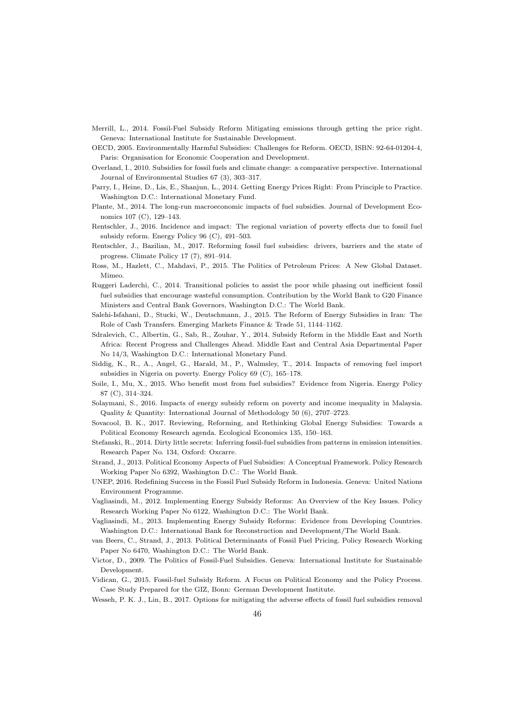- <span id="page-46-7"></span><span id="page-46-4"></span>Merrill, L., 2014. Fossil-Fuel Subsidy Reform Mitigating emissions through getting the price right. Geneva: International Institute for Sustainable Development.
- <span id="page-46-2"></span>OECD, 2005. Environmentally Harmful Subsidies: Challenges for Reform. OECD, ISBN: 92-64-01204-4, Paris: Organisation for Economic Cooperation and Development.
- <span id="page-46-24"></span>Overland, I., 2010. Subsidies for fossil fuels and climate change: a comparative perspective. International Journal of Environmental Studies 67 (3), 303–317.
- <span id="page-46-5"></span>Parry, I., Heine, D., Lis, E., Shanjun, L., 2014. Getting Energy Prices Right: From Principle to Practice. Washington D.C.: International Monetary Fund.
- <span id="page-46-14"></span>Plante, M., 2014. The long-run macroeconomic impacts of fuel subsidies. Journal of Development Economics 107 (C), 129–143.
- <span id="page-46-12"></span>Rentschler, J., 2016. Incidence and impact: The regional variation of poverty effects due to fossil fuel subsidy reform. Energy Policy 96 (C), 491–503.
- <span id="page-46-8"></span>Rentschler, J., Bazilian, M., 2017. Reforming fossil fuel subsidies: drivers, barriers and the state of progress. Climate Policy 17 (7), 891–914.
- <span id="page-46-6"></span>Ross, M., Hazlett, C., Mahdavi, P., 2015. The Politics of Petroleum Prices: A New Global Dataset. Mimeo.
- <span id="page-46-23"></span>Ruggeri Laderchi, C., 2014. Transitional policies to assist the poor while phasing out inefficient fossil fuel subsidies that encourage wasteful consumption. Contribution by the World Bank to G20 Finance Ministers and Central Bank Governors, Washington D.C.: The World Bank.
- <span id="page-46-10"></span>Salehi-Isfahani, D., Stucki, W., Deutschmann, J., 2015. The Reform of Energy Subsidies in Iran: The Role of Cash Transfers. Emerging Markets Finance & Trade 51, 1144–1162.
- <span id="page-46-9"></span>Sdralevich, C., Albertin, G., Sab, R., Zouhar, Y., 2014. Subsidy Reform in the Middle East and North Africa: Recent Progress and Challenges Ahead. Middle East and Central Asia Departmental Paper No 14/3, Washington D.C.: International Monetary Fund.
- <span id="page-46-17"></span>Siddig, K., R., A., Angel, G., Harald, M., P., Walmsley, T., 2014. Impacts of removing fuel import subsidies in Nigeria on poverty. Energy Policy 69 (C), 165–178.
- <span id="page-46-11"></span>Soile, I., Mu, X., 2015. Who benefit most from fuel subsidies? Evidence from Nigeria. Energy Policy 87 (C), 314–324.
- <span id="page-46-16"></span>Solaymani, S., 2016. Impacts of energy subsidy reform on poverty and income inequality in Malaysia. Quality & Quantity: International Journal of Methodology 50 (6), 2707–2723.
- <span id="page-46-3"></span>Sovacool, B. K., 2017. Reviewing, Reforming, and Rethinking Global Energy Subsidies: Towards a Political Economy Research agenda. Ecological Economics 135, 150–163.
- <span id="page-46-0"></span>Stefanski, R., 2014. Dirty little secrets: Inferring fossil-fuel subsidies from patterns in emission intensities. Research Paper No. 134, Oxford: Oxcarre.
- <span id="page-46-21"></span>Strand, J., 2013. Political Economy Aspects of Fuel Subsidies: A Conceptual Framework. Policy Research Working Paper No 6392, Washington D.C.: The World Bank.
- <span id="page-46-13"></span>UNEP, 2016. Redefining Success in the Fossil Fuel Subsidy Reform in Indonesia. Geneva: United Nations Environment Programme.
- <span id="page-46-18"></span>Vagliasindi, M., 2012. Implementing Energy Subsidy Reforms: An Overview of the Key Issues. Policy Research Working Paper No 6122, Washington D.C.: The World Bank.
- <span id="page-46-19"></span>Vagliasindi, M., 2013. Implementing Energy Subsidy Reforms: Evidence from Developing Countries. Washington D.C.: International Bank for Reconstruction and Development/The World Bank.

<span id="page-46-20"></span>van Beers, C., Strand, J., 2013. Political Determinants of Fossil Fuel Pricing. Policy Research Working Paper No 6470, Washington D.C.: The World Bank.

- <span id="page-46-22"></span>Victor, D., 2009. The Politics of Fossil-Fuel Subsidies. Geneva: International Institute for Sustainable Development.
- <span id="page-46-1"></span>Vidican, G., 2015. Fossil-fuel Subsidy Reform. A Focus on Political Economy and the Policy Process. Case Study Prepared for the GIZ, Bonn: German Development Institute.

<span id="page-46-15"></span>Wesseh, P. K. J., Lin, B., 2017. Options for mitigating the adverse effects of fossil fuel subsidies removal